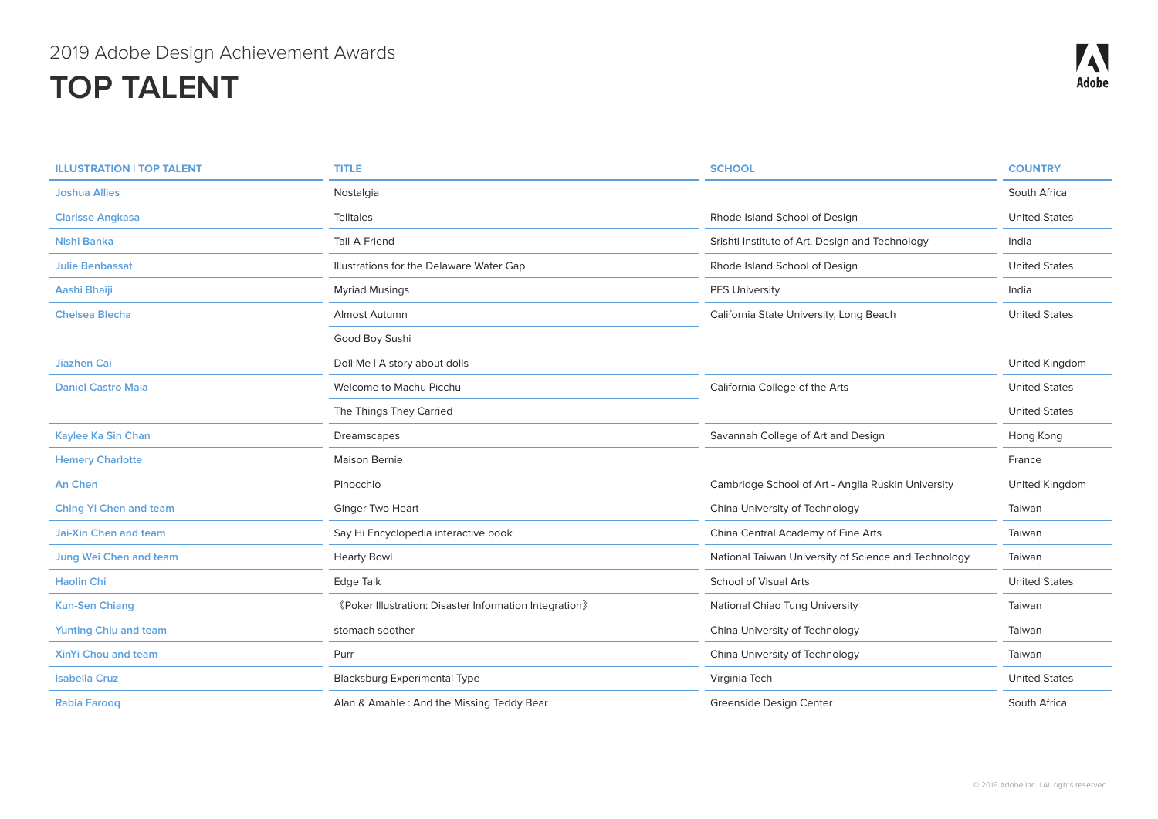| <b>ILLUSTRATION   TOP TALENT</b> | <b>TITLE</b>                                           | <b>SCHOOL</b>                                        | <b>COUNTRY</b>       |
|----------------------------------|--------------------------------------------------------|------------------------------------------------------|----------------------|
| <b>Joshua Allies</b>             | Nostalgia                                              |                                                      | South Africa         |
| <b>Clarisse Angkasa</b>          | <b>Telltales</b>                                       | Rhode Island School of Design                        | <b>United States</b> |
| Nishi Banka                      | Tail-A-Friend                                          | Srishti Institute of Art, Design and Technology      | India                |
| <b>Julie Benbassat</b>           | Illustrations for the Delaware Water Gap               | Rhode Island School of Design                        | <b>United States</b> |
| Aashi Bhaiji                     | <b>Myriad Musings</b>                                  | <b>PES University</b>                                | India                |
| <b>Chelsea Blecha</b>            | Almost Autumn                                          | California State University, Long Beach              | <b>United States</b> |
|                                  | Good Boy Sushi                                         |                                                      |                      |
| <b>Jiazhen Cai</b>               | Doll Me   A story about dolls                          |                                                      | United Kingdom       |
| <b>Daniel Castro Maia</b>        | Welcome to Machu Picchu                                | California College of the Arts                       | <b>United States</b> |
|                                  | The Things They Carried                                |                                                      | <b>United States</b> |
| Kaylee Ka Sin Chan               | Dreamscapes                                            | Savannah College of Art and Design                   | Hong Kong            |
| <b>Hemery Charlotte</b>          | Maison Bernie                                          |                                                      | France               |
| An Chen                          | Pinocchio                                              | Cambridge School of Art - Anglia Ruskin University   | United Kingdom       |
| <b>Ching Yi Chen and team</b>    | Ginger Two Heart                                       | China University of Technology                       | Taiwan               |
| <b>Jai-Xin Chen and team</b>     | Say Hi Encyclopedia interactive book                   | China Central Academy of Fine Arts                   | Taiwan               |
| Jung Wei Chen and team           | <b>Hearty Bowl</b>                                     | National Taiwan University of Science and Technology | Taiwan               |
| <b>Haolin Chi</b>                | Edge Talk                                              | <b>School of Visual Arts</b>                         | <b>United States</b> |
| <b>Kun-Sen Chiang</b>            | «Poker Illustration: Disaster Information Integration» | National Chiao Tung University                       | Taiwan               |
| <b>Yunting Chiu and team</b>     | stomach soother                                        | China University of Technology                       | Taiwan               |
| <b>XinYi Chou and team</b>       | Purr                                                   | China University of Technology                       | Taiwan               |
| <b>Isabella Cruz</b>             | <b>Blacksburg Experimental Type</b>                    | Virginia Tech                                        | <b>United States</b> |
| <b>Rabia Faroog</b>              | Alan & Amahle: And the Missing Teddy Bear              | Greenside Desian Center                              | South Africa         |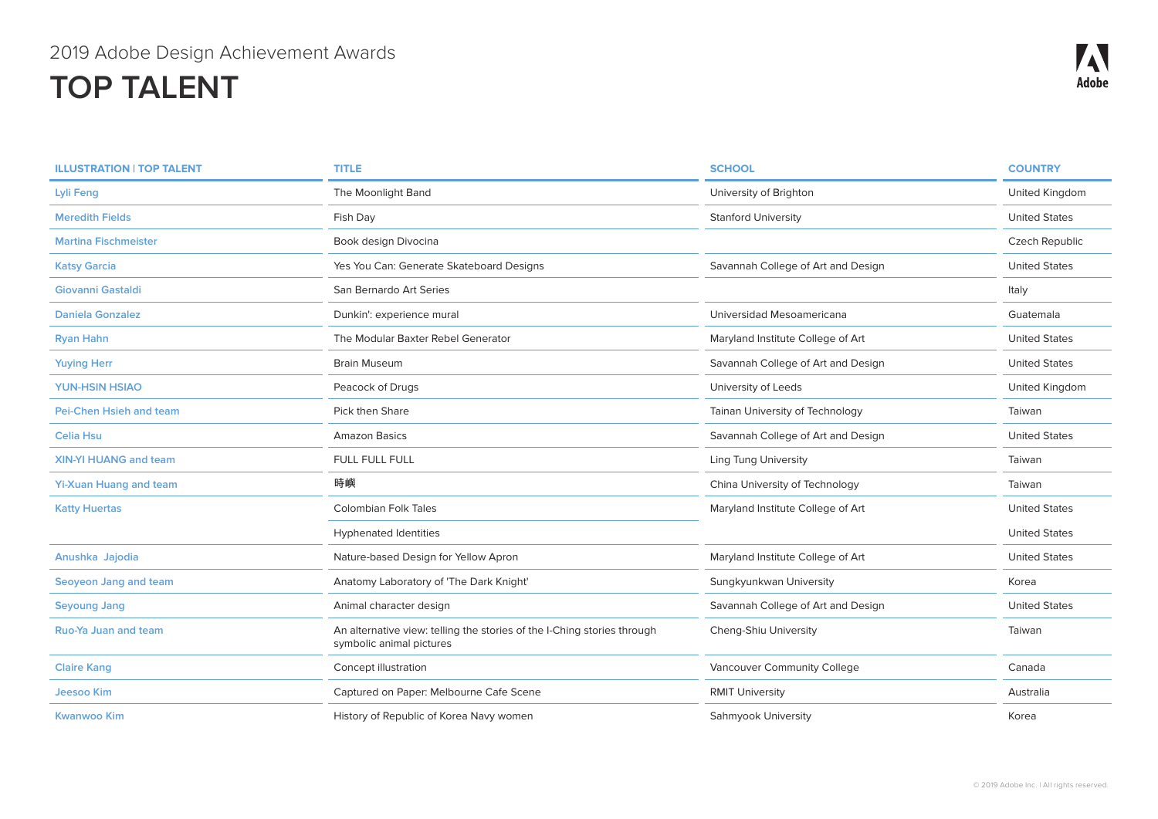| <b>ILLUSTRATION   TOP TALENT</b> | <b>TITLE</b>                                                                                        | <b>SCHOOL</b>                      | <b>COUNTRY</b>       |
|----------------------------------|-----------------------------------------------------------------------------------------------------|------------------------------------|----------------------|
| Lyli Feng                        | The Moonlight Band                                                                                  | University of Brighton             | United Kingdom       |
| <b>Meredith Fields</b>           | Fish Day                                                                                            | <b>Stanford University</b>         | <b>United States</b> |
| <b>Martina Fischmeister</b>      | Book design Divocina                                                                                |                                    | Czech Republic       |
| <b>Katsy Garcia</b>              | Yes You Can: Generate Skateboard Designs                                                            | Savannah College of Art and Design | <b>United States</b> |
| Giovanni Gastaldi                | San Bernardo Art Series                                                                             |                                    | Italy                |
| <b>Daniela Gonzalez</b>          | Dunkin': experience mural                                                                           | Universidad Mesoamericana          | Guatemala            |
| <b>Ryan Hahn</b>                 | The Modular Baxter Rebel Generator                                                                  | Maryland Institute College of Art  | <b>United States</b> |
| <b>Yuying Herr</b>               | <b>Brain Museum</b>                                                                                 | Savannah College of Art and Design | <b>United States</b> |
| <b>YUN-HSIN HSIAO</b>            | Peacock of Drugs                                                                                    | University of Leeds                | United Kingdom       |
| <b>Pei-Chen Hsieh and team</b>   | Pick then Share                                                                                     | Tainan University of Technology    | Taiwan               |
| <b>Celia Hsu</b>                 | <b>Amazon Basics</b>                                                                                | Savannah College of Art and Design | <b>United States</b> |
| <b>XIN-YI HUANG and team</b>     | FULL FULL FULL                                                                                      | <b>Ling Tung University</b>        | Taiwan               |
| <b>Yi-Xuan Huang and team</b>    | 時嶼                                                                                                  | China University of Technology     | Taiwan               |
| <b>Katty Huertas</b>             | <b>Colombian Folk Tales</b>                                                                         | Maryland Institute College of Art  | <b>United States</b> |
|                                  | <b>Hyphenated Identities</b>                                                                        |                                    | <b>United States</b> |
| Anushka Jajodia                  | Nature-based Design for Yellow Apron                                                                | Maryland Institute College of Art  | <b>United States</b> |
| Seoyeon Jang and team            | Anatomy Laboratory of 'The Dark Knight'                                                             | Sungkyunkwan University            | Korea                |
| <b>Seyoung Jang</b>              | Animal character design                                                                             | Savannah College of Art and Design | <b>United States</b> |
| <b>Ruo-Ya Juan and team</b>      | An alternative view: telling the stories of the I-Ching stories through<br>symbolic animal pictures | Cheng-Shiu University              | Taiwan               |
| <b>Claire Kang</b>               | Concept illustration                                                                                | Vancouver Community College        | Canada               |
| <b>Jeesoo Kim</b>                | Captured on Paper: Melbourne Cafe Scene                                                             | <b>RMIT University</b>             | Australia            |
| <b>Kwanwoo Kim</b>               | History of Republic of Korea Navy women                                                             | Sahmyook University                | Korea                |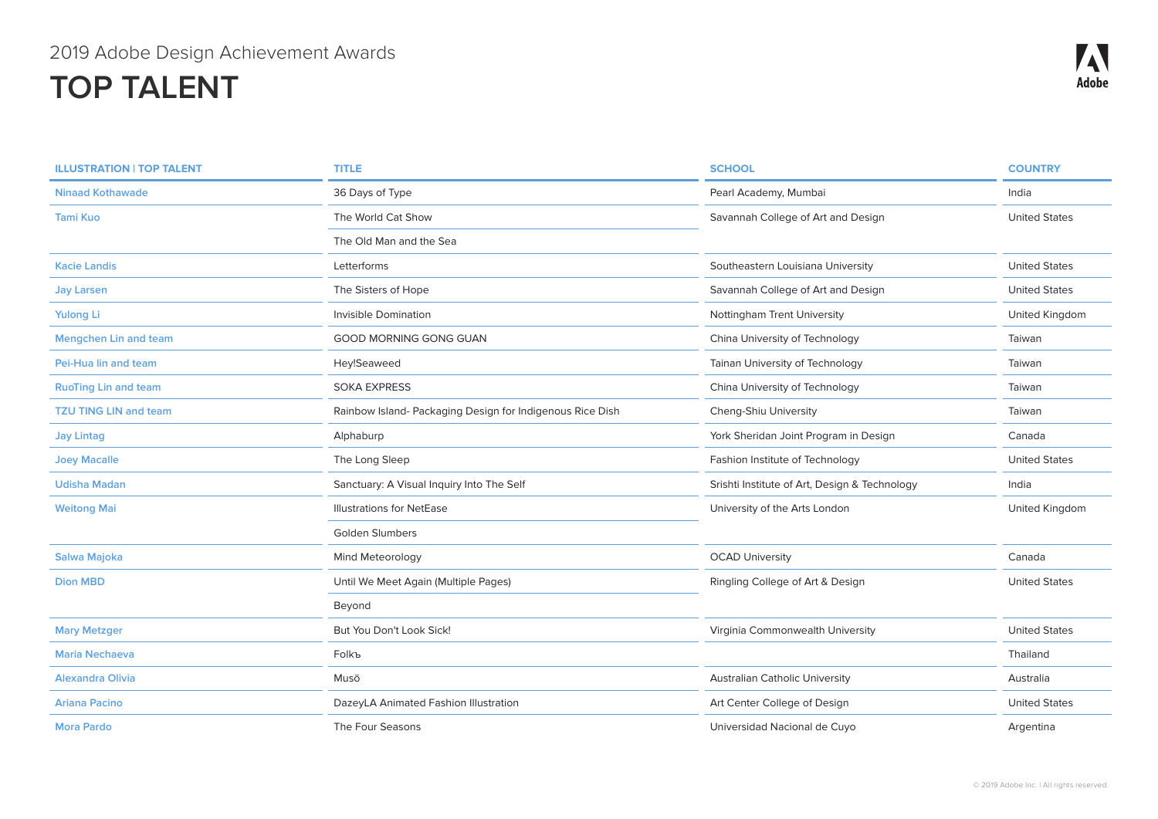| <b>ILLUSTRATION   TOP TALENT</b> | <b>TITLE</b>                                              | <b>SCHOOL</b>                                 | <b>COUNTRY</b>       |
|----------------------------------|-----------------------------------------------------------|-----------------------------------------------|----------------------|
| <b>Ninaad Kothawade</b>          | 36 Days of Type                                           | Pearl Academy, Mumbai                         | India                |
| Tami Kuo                         | The World Cat Show                                        | Savannah College of Art and Design            | <b>United States</b> |
|                                  | The Old Man and the Sea                                   |                                               |                      |
| <b>Kacie Landis</b>              | Letterforms                                               | Southeastern Louisiana University             | <b>United States</b> |
| <b>Jay Larsen</b>                | The Sisters of Hope                                       | Savannah College of Art and Design            | <b>United States</b> |
| <b>Yulong Li</b>                 | Invisible Domination                                      | Nottingham Trent University                   | United Kingdom       |
| <b>Mengchen Lin and team</b>     | <b>GOOD MORNING GONG GUAN</b>                             | China University of Technology                | Taiwan               |
| Pei-Hua lin and team             | Hey!Seaweed                                               | Tainan University of Technology               | Taiwan               |
| <b>RuoTing Lin and team</b>      | <b>SOKA EXPRESS</b>                                       | China University of Technology                | Taiwan               |
| <b>TZU TING LIN and team</b>     | Rainbow Island- Packaging Design for Indigenous Rice Dish | Cheng-Shiu University                         | Taiwan               |
| <b>Jay Lintag</b>                | Alphaburp                                                 | York Sheridan Joint Program in Design         | Canada               |
| <b>Joey Macalle</b>              | The Long Sleep                                            | Fashion Institute of Technology               | <b>United States</b> |
| <b>Udisha Madan</b>              | Sanctuary: A Visual Inquiry Into The Self                 | Srishti Institute of Art, Design & Technology | India                |
| <b>Weitong Mai</b>               | <b>Illustrations for NetEase</b>                          | University of the Arts London                 | United Kingdom       |
|                                  | <b>Golden Slumbers</b>                                    |                                               |                      |
| Salwa Majoka                     | Mind Meteorology                                          | <b>OCAD University</b>                        | Canada               |
| <b>Dion MBD</b>                  | Until We Meet Again (Multiple Pages)                      | Ringling College of Art & Design              | <b>United States</b> |
|                                  | Beyond                                                    |                                               |                      |
| <b>Mary Metzger</b>              | But You Don't Look Sick!                                  | Virginia Commonwealth University              | <b>United States</b> |
| <b>Maria Nechaeva</b>            | Folkъ                                                     |                                               | Thailand             |
| <b>Alexandra Olivia</b>          | Musō                                                      | <b>Australian Catholic University</b>         | Australia            |
| Ariana Pacino                    | DazeyLA Animated Fashion Illustration                     | Art Center College of Design                  | <b>United States</b> |
| <b>Mora Pardo</b>                | The Four Seasons                                          | Universidad Nacional de Cuyo                  | Argentina            |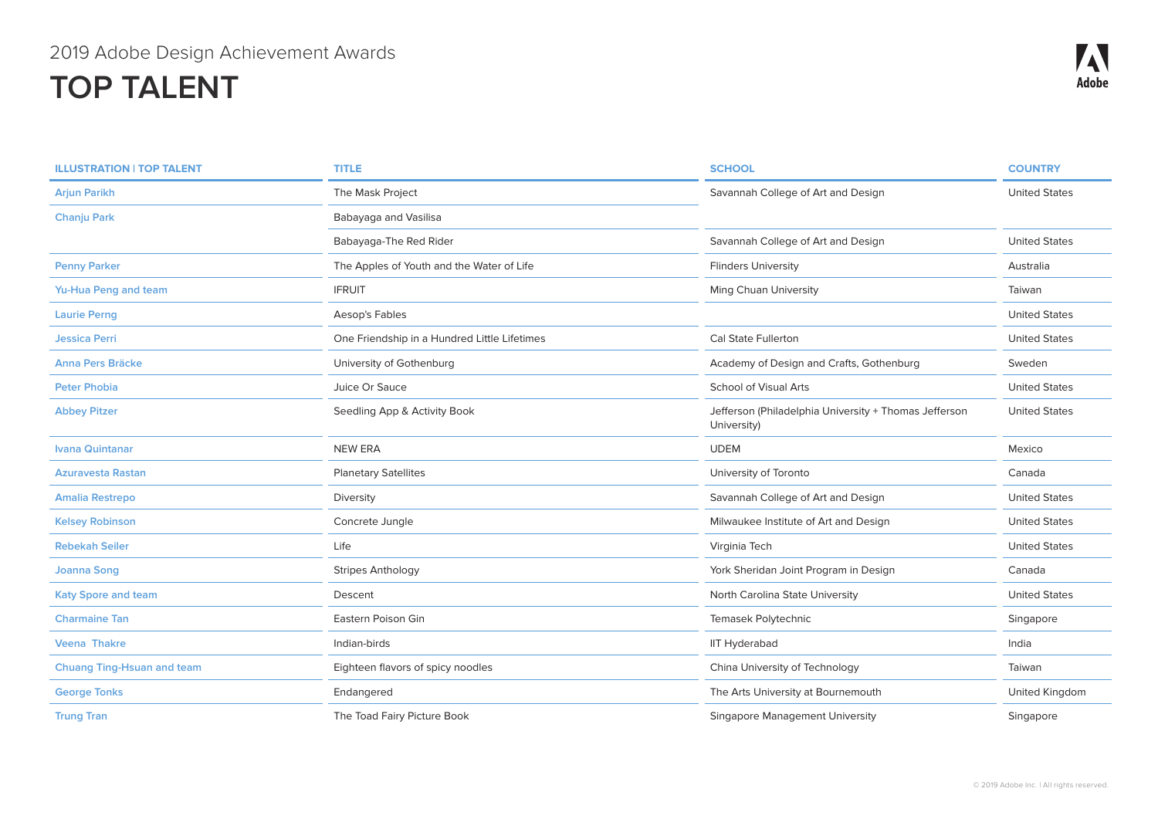| <b>ILLUSTRATION   TOP TALENT</b>  | <b>TITLE</b>                                 | <b>SCHOOL</b>                                                        | <b>COUNTRY</b>       |
|-----------------------------------|----------------------------------------------|----------------------------------------------------------------------|----------------------|
| <b>Arjun Parikh</b>               | The Mask Project                             | Savannah College of Art and Design                                   | <b>United States</b> |
| <b>Chanju Park</b>                | Babayaga and Vasilisa                        |                                                                      |                      |
|                                   | Babayaga-The Red Rider                       | Savannah College of Art and Design                                   | <b>United States</b> |
| <b>Penny Parker</b>               | The Apples of Youth and the Water of Life    | <b>Flinders University</b>                                           | Australia            |
| Yu-Hua Peng and team              | <b>IFRUIT</b>                                | Ming Chuan University                                                | Taiwan               |
| <b>Laurie Perng</b>               | Aesop's Fables                               |                                                                      | <b>United States</b> |
| <b>Jessica Perri</b>              | One Friendship in a Hundred Little Lifetimes | <b>Cal State Fullerton</b>                                           | <b>United States</b> |
| <b>Anna Pers Bräcke</b>           | University of Gothenburg                     | Academy of Design and Crafts, Gothenburg                             | Sweden               |
| <b>Peter Phobia</b>               | Juice Or Sauce                               | <b>School of Visual Arts</b>                                         | <b>United States</b> |
| <b>Abbey Pitzer</b>               | Seedling App & Activity Book                 | Jefferson (Philadelphia University + Thomas Jefferson<br>University) | <b>United States</b> |
| <b>Ivana Quintanar</b>            | <b>NEW ERA</b>                               | <b>UDEM</b>                                                          | Mexico               |
| <b>Azuravesta Rastan</b>          | <b>Planetary Satellites</b>                  | University of Toronto                                                | Canada               |
| <b>Amalia Restrepo</b>            | Diversity                                    | Savannah College of Art and Design                                   | <b>United States</b> |
| <b>Kelsey Robinson</b>            | Concrete Jungle                              | Milwaukee Institute of Art and Design                                | <b>United States</b> |
| <b>Rebekah Seiler</b>             | Life                                         | Virginia Tech                                                        | <b>United States</b> |
| <b>Joanna Song</b>                | <b>Stripes Anthology</b>                     | York Sheridan Joint Program in Design                                | Canada               |
| <b>Katy Spore and team</b>        | Descent                                      | North Carolina State University                                      | <b>United States</b> |
| <b>Charmaine Tan</b>              | Eastern Poison Gin                           | Temasek Polytechnic                                                  | Singapore            |
| <b>Veena Thakre</b>               | Indian-birds                                 | <b>IIT Hyderabad</b>                                                 | India                |
| <b>Chuang Ting-Hsuan and team</b> | Eighteen flavors of spicy noodles            | China University of Technology                                       | Taiwan               |
| <b>George Tonks</b>               | Endangered                                   | The Arts University at Bournemouth                                   | United Kingdom       |
| <b>Trung Tran</b>                 | The Toad Fairy Picture Book                  | Singapore Management University                                      | Singapore            |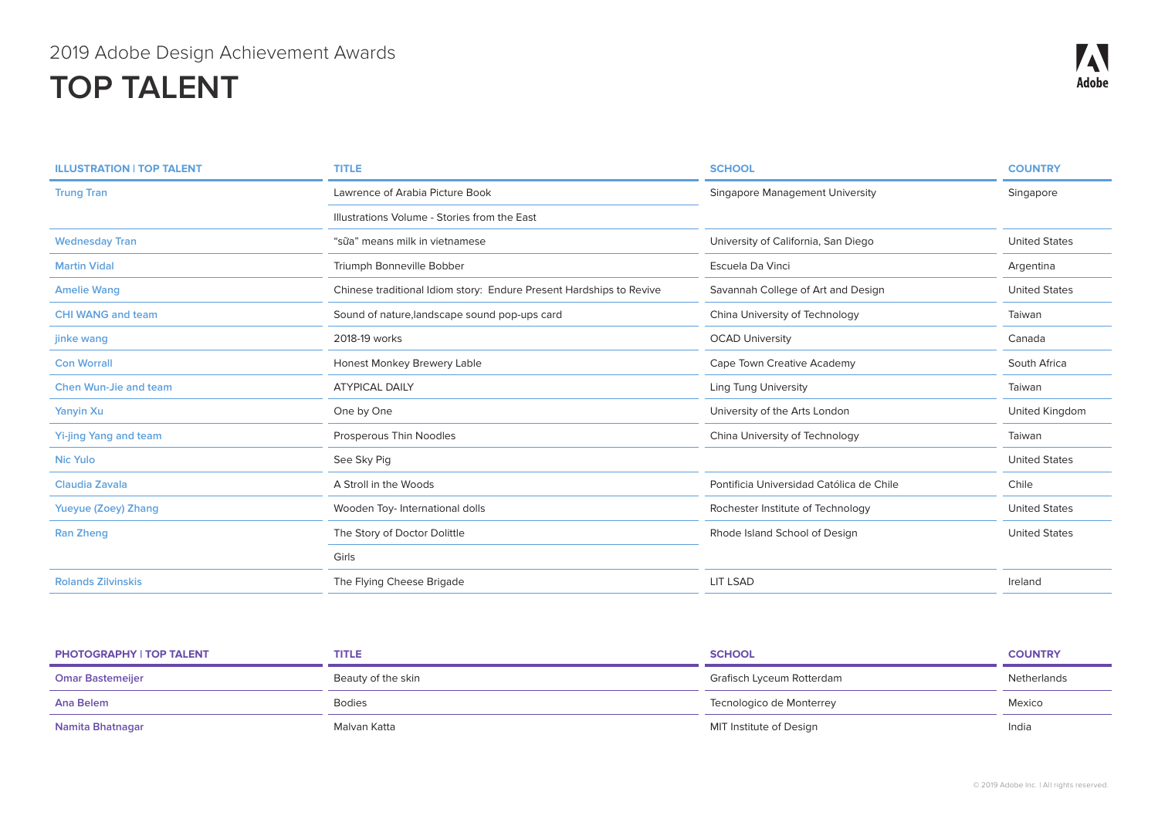| <b>ILLUSTRATION   TOP TALENT</b> | <b>TITLE</b>                                                        | <b>SCHOOL</b>                            | <b>COUNTRY</b>       |
|----------------------------------|---------------------------------------------------------------------|------------------------------------------|----------------------|
| <b>Trung Tran</b>                | Lawrence of Arabia Picture Book                                     | <b>Singapore Management University</b>   | Singapore            |
|                                  | Illustrations Volume - Stories from the East                        |                                          |                      |
| <b>Wednesday Tran</b>            | "sữa" means milk in vietnamese                                      | University of California, San Diego      | <b>United States</b> |
| <b>Martin Vidal</b>              | Triumph Bonneville Bobber                                           | Escuela Da Vinci                         | Argentina            |
| <b>Amelie Wang</b>               | Chinese traditional Idiom story: Endure Present Hardships to Revive | Savannah College of Art and Design       | <b>United States</b> |
| <b>CHI WANG and team</b>         | Sound of nature, landscape sound pop-ups card                       | China University of Technology           | Taiwan               |
| jinke wang                       | 2018-19 works                                                       | <b>OCAD University</b>                   | Canada               |
| <b>Con Worrall</b>               | Honest Monkey Brewery Lable                                         | Cape Town Creative Academy               | South Africa         |
| <b>Chen Wun-Jie and team</b>     | <b>ATYPICAL DAILY</b>                                               | <b>Ling Tung University</b>              | Taiwan               |
| <b>Yanyin Xu</b>                 | One by One                                                          | University of the Arts London            | United Kingdom       |
| <b>Yi-jing Yang and team</b>     | Prosperous Thin Noodles                                             | China University of Technology           | Taiwan               |
| <b>Nic Yulo</b>                  | See Sky Pig                                                         |                                          | <b>United States</b> |
| Claudia Zavala                   | A Stroll in the Woods                                               | Pontificia Universidad Católica de Chile | Chile                |
| Yueyue (Zoey) Zhang              | Wooden Toy- International dolls                                     | Rochester Institute of Technology        | <b>United States</b> |
| <b>Ran Zheng</b>                 | The Story of Doctor Dolittle                                        | Rhode Island School of Design            | <b>United States</b> |
|                                  | Girls                                                               |                                          |                      |
| <b>Rolands Zilvinskis</b>        | The Flying Cheese Brigade                                           | <b>LIT LSAD</b>                          | Ireland              |

| <b>PHOTOGRAPHY   TOP TALENT</b> | TITLE              | <b>SCHOOL</b>             | <b>COUNTRY</b> |
|---------------------------------|--------------------|---------------------------|----------------|
| <b>Omar Bastemeijer</b>         | Beauty of the skin | Grafisch Lyceum Rotterdam | Netherlands    |
| Ana Belem                       | <b>Bodies</b>      | Tecnologico de Monterrey  | Mexico         |
| Namita Bhatnagar                | Malvan Katta       | MIT Institute of Design   | India          |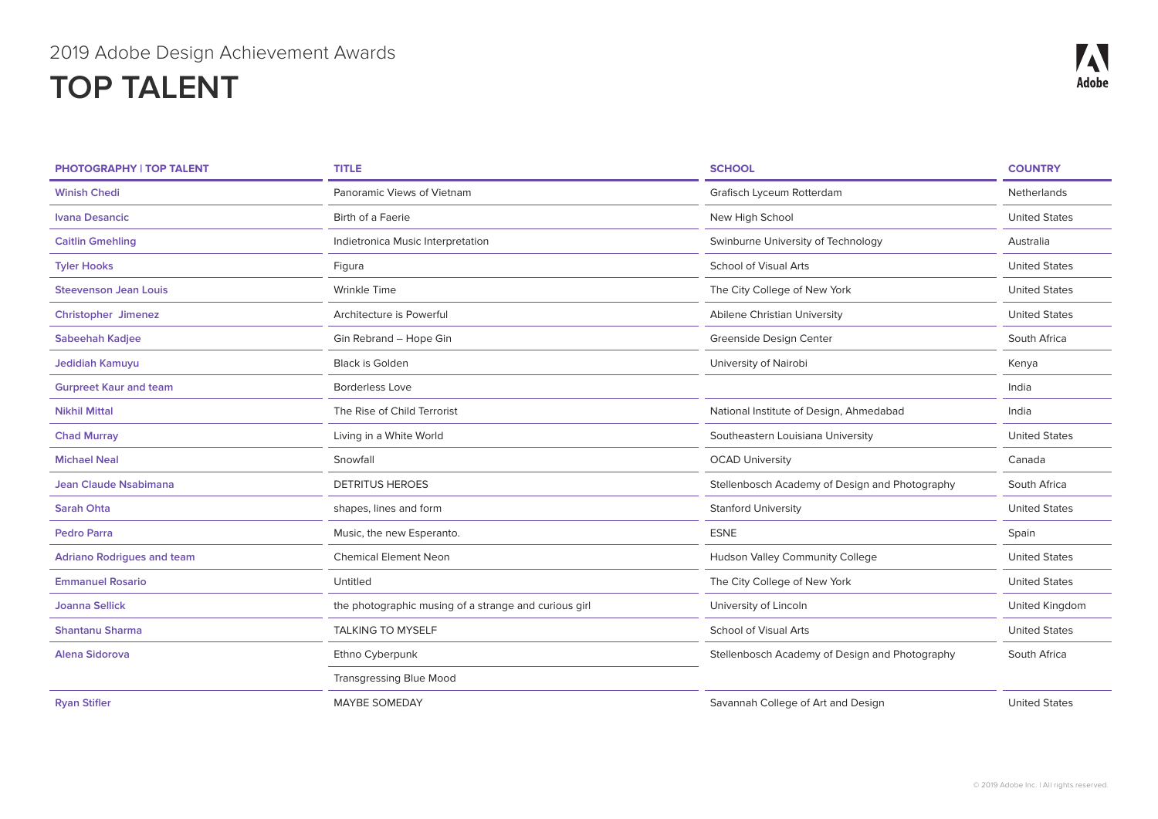| <b>PHOTOGRAPHY   TOP TALENT</b>   | <b>TITLE</b>                                          | <b>SCHOOL</b>                                  | <b>COUNTRY</b>       |
|-----------------------------------|-------------------------------------------------------|------------------------------------------------|----------------------|
| <b>Winish Chedi</b>               | Panoramic Views of Vietnam                            | Grafisch Lyceum Rotterdam                      | Netherlands          |
| <b>Ivana Desancic</b>             | Birth of a Faerie                                     | New High School                                | <b>United States</b> |
| <b>Caitlin Gmehling</b>           | Indietronica Music Interpretation                     | Swinburne University of Technology             | Australia            |
| <b>Tyler Hooks</b>                | Figura                                                | <b>School of Visual Arts</b>                   | <b>United States</b> |
| <b>Steevenson Jean Louis</b>      | Wrinkle Time                                          | The City College of New York                   | <b>United States</b> |
| <b>Christopher Jimenez</b>        | Architecture is Powerful                              | Abilene Christian University                   | <b>United States</b> |
| <b>Sabeehah Kadjee</b>            | Gin Rebrand - Hope Gin                                | Greenside Design Center                        | South Africa         |
| Jedidiah Kamuyu                   | <b>Black is Golden</b>                                | University of Nairobi                          | Kenya                |
| <b>Gurpreet Kaur and team</b>     | <b>Borderless Love</b>                                |                                                | India                |
| <b>Nikhil Mittal</b>              | The Rise of Child Terrorist                           | National Institute of Design, Ahmedabad        | India                |
| <b>Chad Murray</b>                | Living in a White World                               | Southeastern Louisiana University              | <b>United States</b> |
| <b>Michael Neal</b>               | Snowfall                                              | <b>OCAD University</b>                         | Canada               |
| Jean Claude Nsabimana             | <b>DETRITUS HEROES</b>                                | Stellenbosch Academy of Design and Photography | South Africa         |
| <b>Sarah Ohta</b>                 | shapes, lines and form                                | <b>Stanford University</b>                     | <b>United States</b> |
| <b>Pedro Parra</b>                | Music, the new Esperanto.                             | <b>ESNE</b>                                    | Spain                |
| <b>Adriano Rodrigues and team</b> | <b>Chemical Element Neon</b>                          | Hudson Valley Community College                | <b>United States</b> |
| <b>Emmanuel Rosario</b>           | Untitled                                              | The City College of New York                   | <b>United States</b> |
| <b>Joanna Sellick</b>             | the photographic musing of a strange and curious girl | University of Lincoln                          | United Kingdom       |
| <b>Shantanu Sharma</b>            | <b>TALKING TO MYSELF</b>                              | <b>School of Visual Arts</b>                   | <b>United States</b> |
| <b>Alena Sidorova</b>             | Ethno Cyberpunk                                       | Stellenbosch Academy of Design and Photography | South Africa         |
|                                   | <b>Transgressing Blue Mood</b>                        |                                                |                      |
| <b>Ryan Stifler</b>               | <b>MAYBE SOMEDAY</b>                                  | Savannah College of Art and Design             | <b>United States</b> |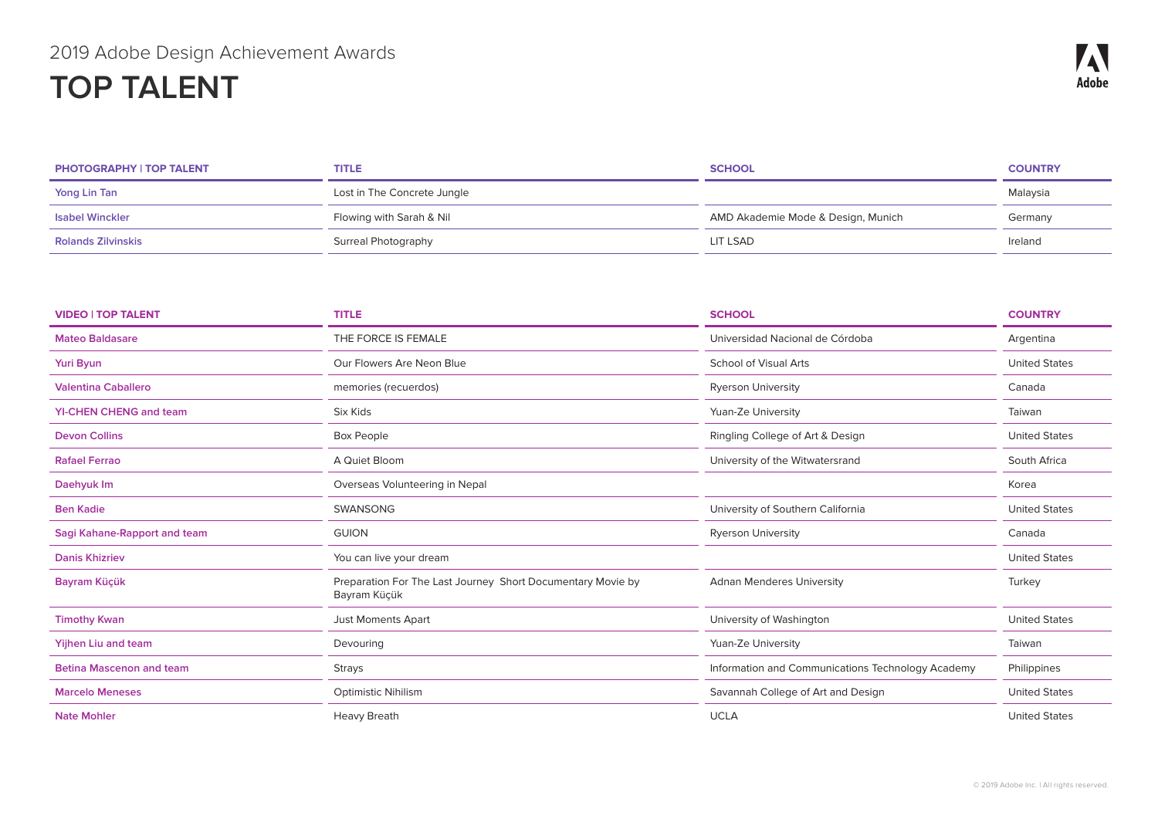| <b>PHOTOGRAPHY   TOP TALENT</b> | <b>TITLE</b>                | <b>SCHOOL</b>                      | <b>COUNTRY</b> |
|---------------------------------|-----------------------------|------------------------------------|----------------|
| Yong Lin Tan                    | Lost in The Concrete Jungle |                                    | Malaysia       |
| <b>Isabel Winckler</b>          | Flowing with Sarah & Nil    | AMD Akademie Mode & Design, Munich | Germany        |
| <b>Rolands Zilvinskis</b>       | Surreal Photography         | LIT LSAD                           | Ireland        |

| <b>VIDEO   TOP TALENT</b>       | <b>TITLE</b>                                                                | <b>SCHOOL</b>                                     | <b>COUNTRY</b>       |
|---------------------------------|-----------------------------------------------------------------------------|---------------------------------------------------|----------------------|
| <b>Mateo Baldasare</b>          | THE FORCE IS FEMALE                                                         | Universidad Nacional de Córdoba                   | Argentina            |
| <b>Yuri Byun</b>                | Our Flowers Are Neon Blue                                                   | <b>School of Visual Arts</b>                      | <b>United States</b> |
| <b>Valentina Caballero</b>      | memories (recuerdos)                                                        | <b>Ryerson University</b>                         | Canada               |
| <b>YI-CHEN CHENG and team</b>   | Six Kids                                                                    | Yuan-Ze University                                | Taiwan               |
| <b>Devon Collins</b>            | <b>Box People</b>                                                           | Ringling College of Art & Design                  | <b>United States</b> |
| <b>Rafael Ferrao</b>            | A Quiet Bloom                                                               | University of the Witwatersrand                   | South Africa         |
| Daehyuk Im                      | Overseas Volunteering in Nepal                                              |                                                   | Korea                |
| <b>Ben Kadie</b>                | <b>SWANSONG</b>                                                             | University of Southern California                 | <b>United States</b> |
| Sagi Kahane-Rapport and team    | <b>GUION</b>                                                                | <b>Ryerson University</b>                         | Canada               |
| <b>Danis Khizriev</b>           | You can live your dream                                                     |                                                   | <b>United States</b> |
| Bayram Küçük                    | Preparation For The Last Journey Short Documentary Movie by<br>Bayram Küçük | <b>Adnan Menderes University</b>                  | Turkey               |
| <b>Timothy Kwan</b>             | <b>Just Moments Apart</b>                                                   | University of Washington                          | <b>United States</b> |
| <b>Yijhen Liu and team</b>      | Devouring                                                                   | Yuan-Ze University                                | Taiwan               |
| <b>Betina Mascenon and team</b> | Strays                                                                      | Information and Communications Technology Academy | Philippines          |
| <b>Marcelo Meneses</b>          | <b>Optimistic Nihilism</b>                                                  | Savannah College of Art and Design                | <b>United States</b> |
| <b>Nate Mohler</b>              | <b>Heavy Breath</b>                                                         | <b>UCLA</b>                                       | <b>United States</b> |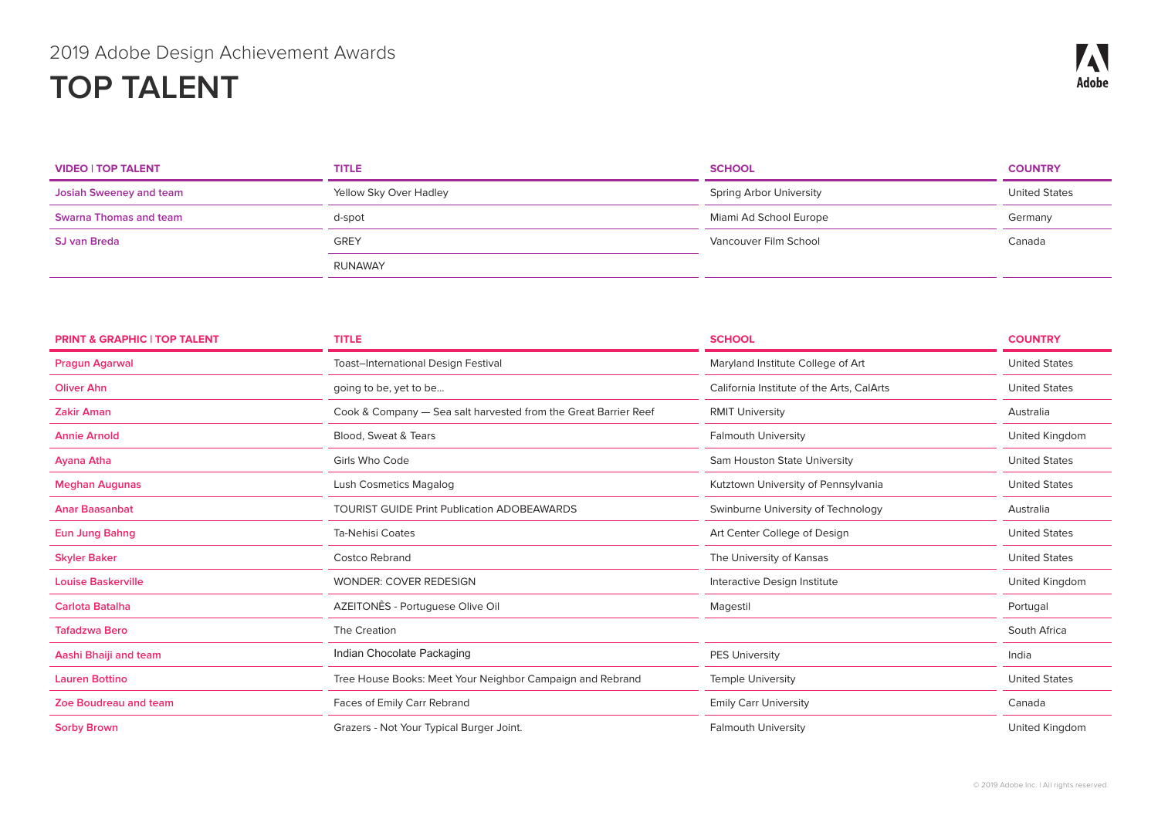| <b>VIDEO   TOP TALENT</b> | <b>TITLE</b>           | <b>SCHOOL</b>           | <b>COUNTRY</b>       |
|---------------------------|------------------------|-------------------------|----------------------|
| Josiah Sweeney and team   | Yellow Sky Over Hadley | Spring Arbor University | <b>United States</b> |
| Swarna Thomas and team    | d-spot                 | Miami Ad School Europe  | Germany              |
| <b>SJ van Breda</b>       | <b>GREY</b>            | Vancouver Film School   | Canada               |
|                           | RUNAWAY                |                         |                      |

| <b>PRINT &amp; GRAPHIC   TOP TALENT</b> | <b>TITLE</b>                                                    | <b>SCHOOL</b>                             | <b>COUNTRY</b>       |
|-----------------------------------------|-----------------------------------------------------------------|-------------------------------------------|----------------------|
| <b>Pragun Agarwal</b>                   | <b>Toast-International Design Festival</b>                      | Maryland Institute College of Art         | <b>United States</b> |
| <b>Oliver Ahn</b>                       | going to be, yet to be                                          | California Institute of the Arts, CalArts | <b>United States</b> |
| <b>Zakir Aman</b>                       | Cook & Company - Sea salt harvested from the Great Barrier Reef | <b>RMIT University</b>                    | Australia            |
| <b>Annie Arnold</b>                     | Blood, Sweat & Tears                                            | <b>Falmouth University</b>                | United Kingdom       |
| <b>Ayana Atha</b>                       | Girls Who Code                                                  | Sam Houston State University              | <b>United States</b> |
| <b>Meghan Augunas</b>                   | <b>Lush Cosmetics Magalog</b>                                   | Kutztown University of Pennsylvania       | <b>United States</b> |
| <b>Anar Baasanbat</b>                   | <b>TOURIST GUIDE Print Publication ADOBEAWARDS</b>              | Swinburne University of Technology        | Australia            |
| <b>Eun Jung Bahng</b>                   | <b>Ta-Nehisi Coates</b>                                         | Art Center College of Design              | <b>United States</b> |
| <b>Skyler Baker</b>                     | <b>Costco Rebrand</b>                                           | The University of Kansas                  | <b>United States</b> |
| <b>Louise Baskerville</b>               | <b>WONDER: COVER REDESIGN</b>                                   | Interactive Design Institute              | United Kingdom       |
| <b>Carlota Batalha</b>                  | AZEITONÊS - Portuguese Olive Oil                                | Magestil                                  | Portugal             |
| <b>Tafadzwa Bero</b>                    | The Creation                                                    |                                           | South Africa         |
| Aashi Bhaiji and team                   | Indian Chocolate Packaging                                      | <b>PES University</b>                     | India                |
| <b>Lauren Bottino</b>                   | Tree House Books: Meet Your Neighbor Campaign and Rebrand       | <b>Temple University</b>                  | <b>United States</b> |
| <b>Zoe Boudreau and team</b>            | Faces of Emily Carr Rebrand                                     | <b>Emily Carr University</b>              | Canada               |
| <b>Sorby Brown</b>                      | Grazers - Not Your Typical Burger Joint.                        | <b>Falmouth University</b>                | United Kingdom       |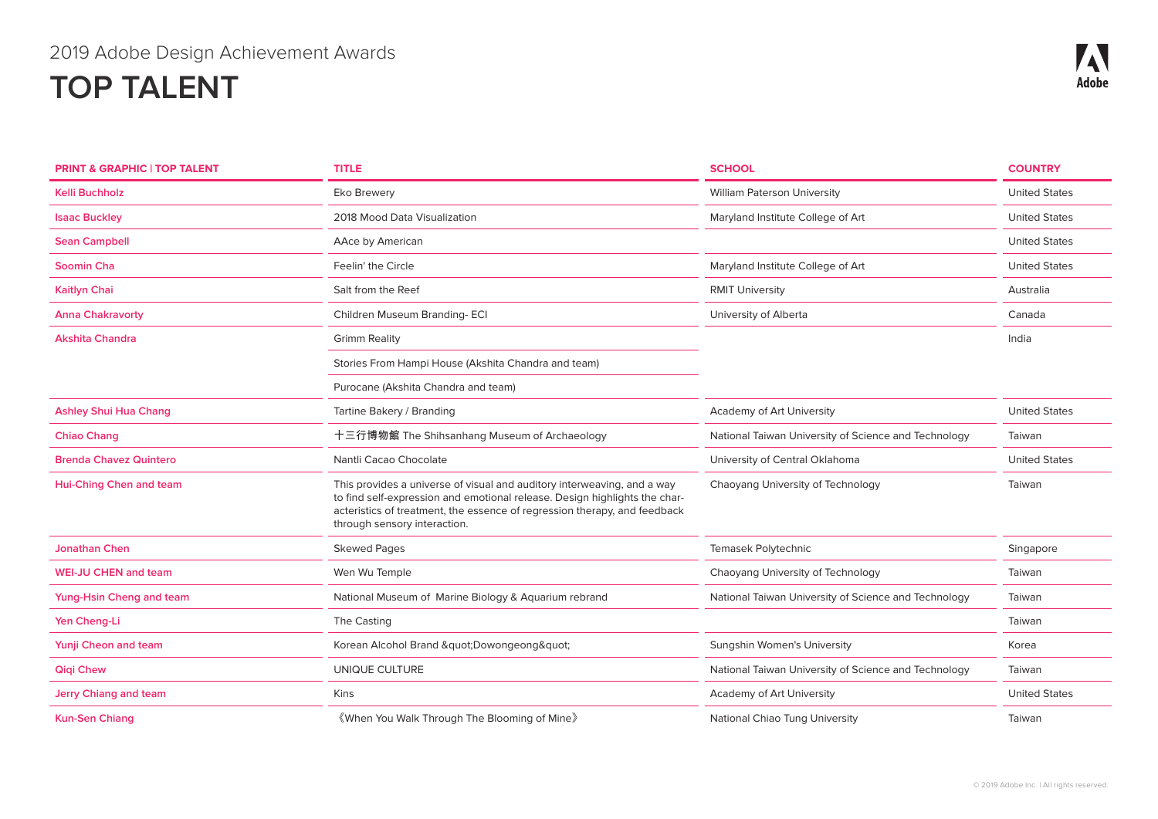| <b>PRINT &amp; GRAPHIC   TOP TALENT</b> | <b>TITLE</b>                                                                                                                                                                                                                                                       | <b>SCHOOL</b>                                        | <b>COUNTRY</b>       |
|-----------------------------------------|--------------------------------------------------------------------------------------------------------------------------------------------------------------------------------------------------------------------------------------------------------------------|------------------------------------------------------|----------------------|
| <b>Kelli Buchholz</b>                   | Eko Brewery                                                                                                                                                                                                                                                        | <b>William Paterson University</b>                   | <b>United States</b> |
| <b>Isaac Buckley</b>                    | 2018 Mood Data Visualization                                                                                                                                                                                                                                       | Maryland Institute College of Art                    | <b>United States</b> |
| <b>Sean Campbell</b>                    | AAce by American                                                                                                                                                                                                                                                   |                                                      | <b>United States</b> |
| Soomin Cha                              | Feelin' the Circle                                                                                                                                                                                                                                                 | Maryland Institute College of Art                    | <b>United States</b> |
| Kaitlyn Chai                            | Salt from the Reef                                                                                                                                                                                                                                                 | <b>RMIT University</b>                               | Australia            |
| <b>Anna Chakravorty</b>                 | Children Museum Branding-ECI                                                                                                                                                                                                                                       | University of Alberta                                | Canada               |
| Akshita Chandra                         | <b>Grimm Reality</b>                                                                                                                                                                                                                                               |                                                      | India                |
|                                         | Stories From Hampi House (Akshita Chandra and team)                                                                                                                                                                                                                |                                                      |                      |
|                                         | Purocane (Akshita Chandra and team)                                                                                                                                                                                                                                |                                                      |                      |
| <b>Ashley Shui Hua Chang</b>            | Tartine Bakery / Branding                                                                                                                                                                                                                                          | Academy of Art University                            | <b>United States</b> |
| <b>Chiao Chang</b>                      | 十三行博物館 The Shihsanhang Museum of Archaeology                                                                                                                                                                                                                       | National Taiwan University of Science and Technology | Taiwan               |
| <b>Brenda Chavez Quintero</b>           | Nantli Cacao Chocolate                                                                                                                                                                                                                                             | University of Central Oklahoma                       | <b>United States</b> |
| Hui-Ching Chen and team                 | This provides a universe of visual and auditory interweaving, and a way<br>to find self-expression and emotional release. Design highlights the char-<br>acteristics of treatment, the essence of regression therapy, and feedback<br>through sensory interaction. | Chaoyang University of Technology                    | Taiwan               |
| <b>Jonathan Chen</b>                    | <b>Skewed Pages</b>                                                                                                                                                                                                                                                | Temasek Polytechnic                                  | Singapore            |
| <b>WEI-JU CHEN and team</b>             | Wen Wu Temple                                                                                                                                                                                                                                                      | Chaoyang University of Technology                    | Taiwan               |
| Yung-Hsin Cheng and team                | National Museum of Marine Biology & Aquarium rebrand                                                                                                                                                                                                               | National Taiwan University of Science and Technology | Taiwan               |
| Yen Cheng-Li                            | The Casting                                                                                                                                                                                                                                                        |                                                      | Taiwan               |
| Yunji Cheon and team                    | Korean Alcohol Brand " Dowongeong "                                                                                                                                                                                                                                | Sungshin Women's University                          | Korea                |
| <b>Qiqi Chew</b>                        | UNIQUE CULTURE                                                                                                                                                                                                                                                     | National Taiwan University of Science and Technology | Taiwan               |
| <b>Jerry Chiang and team</b>            | Kins                                                                                                                                                                                                                                                               | Academy of Art University                            | <b>United States</b> |
| <b>Kun-Sen Chiang</b>                   | 《When You Walk Through The Blooming of Mine》                                                                                                                                                                                                                       | National Chiao Tung University                       | Taiwan               |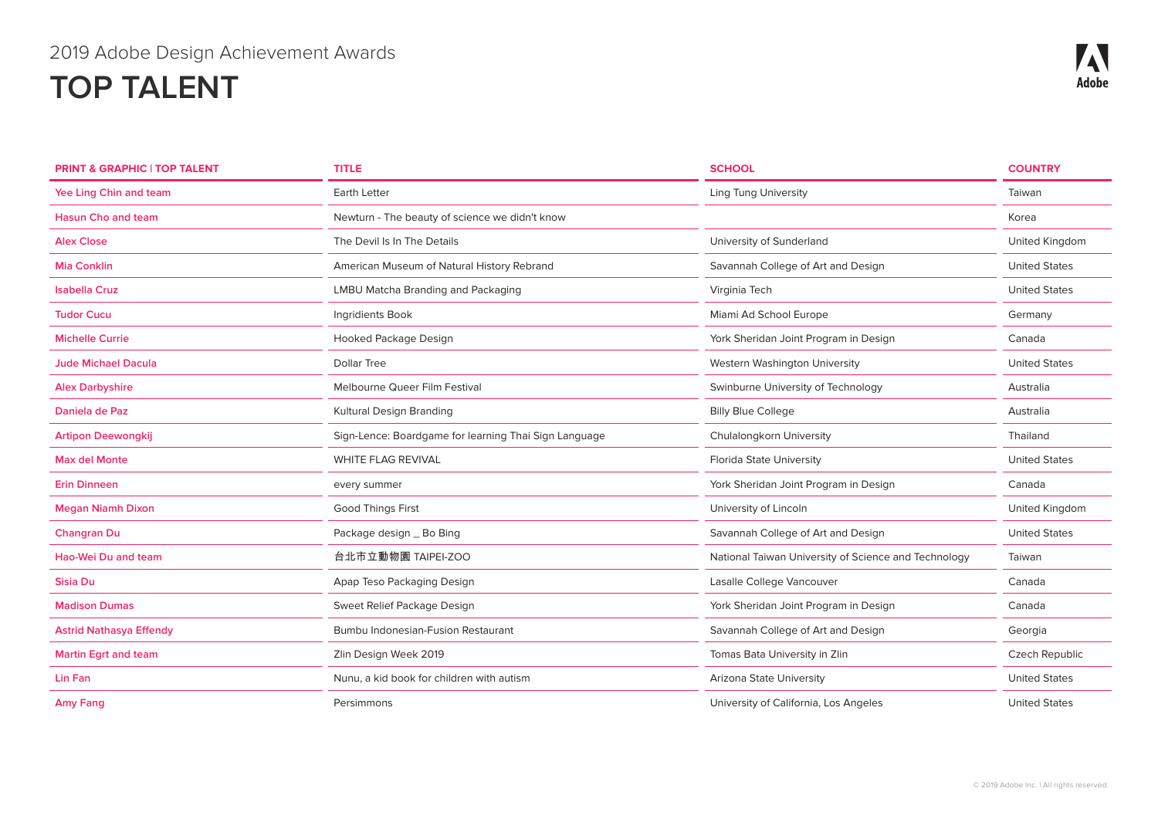| <b>PRINT &amp; GRAPHIC   TOP TALENT</b> | <b>TITLE</b>                                          | <b>SCHOOL</b>                                        | <b>COUNTRY</b>       |
|-----------------------------------------|-------------------------------------------------------|------------------------------------------------------|----------------------|
| Yee Ling Chin and team                  | <b>Earth Letter</b>                                   | <b>Ling Tung University</b>                          | Taiwan               |
| <b>Hasun Cho and team</b>               | Newturn - The beauty of science we didn't know        |                                                      | Korea                |
| <b>Alex Close</b>                       | The Devil Is In The Details                           | University of Sunderland                             | United Kingdom       |
| <b>Mia Conklin</b>                      | American Museum of Natural History Rebrand            | Savannah College of Art and Design                   | <b>United States</b> |
| <b>Isabella Cruz</b>                    | LMBU Matcha Branding and Packaging                    | Virginia Tech                                        | <b>United States</b> |
| <b>Tudor Cucu</b>                       | Ingridients Book                                      | Miami Ad School Europe                               | Germany              |
| <b>Michelle Currie</b>                  | Hooked Package Design                                 | York Sheridan Joint Program in Design                | Canada               |
| <b>Jude Michael Dacula</b>              | <b>Dollar Tree</b>                                    | Western Washington University                        | <b>United States</b> |
| <b>Alex Darbyshire</b>                  | Melbourne Queer Film Festival                         | Swinburne University of Technology                   | Australia            |
| Daniela de Paz                          | Kultural Design Branding                              | <b>Billy Blue College</b>                            | Australia            |
| <b>Artipon Deewongkij</b>               | Sign-Lence: Boardgame for learning Thai Sign Language | Chulalongkorn University                             | Thailand             |
| <b>Max del Monte</b>                    | WHITE FLAG REVIVAL                                    | <b>Florida State University</b>                      | <b>United States</b> |
| <b>Erin Dinneen</b>                     | every summer                                          | York Sheridan Joint Program in Design                | Canada               |
| <b>Megan Niamh Dixon</b>                | <b>Good Things First</b>                              | University of Lincoln                                | United Kingdom       |
| <b>Changran Du</b>                      | Package design _ Bo Bing                              | Savannah College of Art and Design                   | <b>United States</b> |
| Hao-Wei Du and team                     | 台北市立動物園 TAIPEI-ZOO                                    | National Taiwan University of Science and Technology | Taiwan               |
| Sisia Du                                | Apap Teso Packaging Design                            | Lasalle College Vancouver                            | Canada               |
| <b>Madison Dumas</b>                    | Sweet Relief Package Design                           | York Sheridan Joint Program in Design                | Canada               |
| <b>Astrid Nathasya Effendy</b>          | Bumbu Indonesian-Fusion Restaurant                    | Savannah College of Art and Design                   | Georgia              |
| <b>Martin Egrt and team</b>             | Zlin Design Week 2019                                 | Tomas Bata University in Zlin                        | Czech Republic       |
| Lin Fan                                 | Nunu, a kid book for children with autism             | Arizona State University                             | <b>United States</b> |
| Amy Fang                                | Persimmons                                            | University of California, Los Angeles                | <b>United States</b> |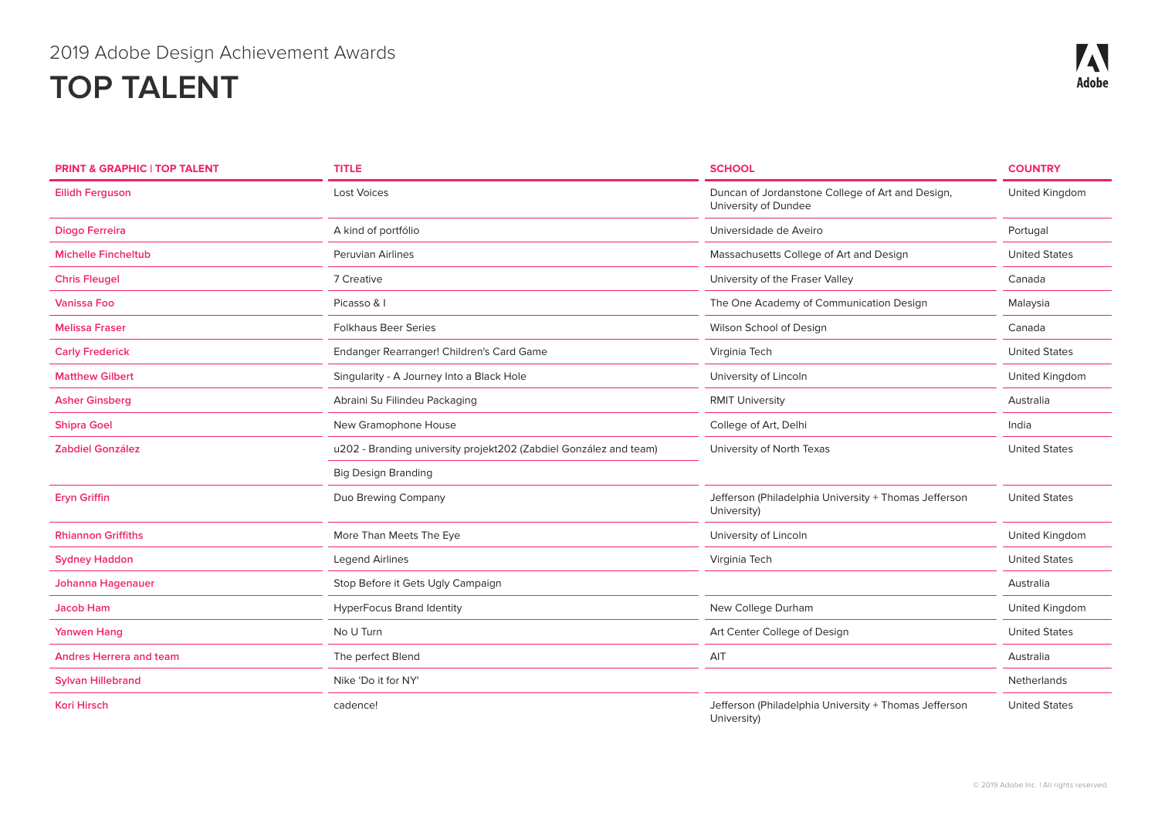| <b>PRINT &amp; GRAPHIC   TOP TALENT</b> | <b>TITLE</b>                                                      | <b>SCHOOL</b>                                                            | <b>COUNTRY</b>       |
|-----------------------------------------|-------------------------------------------------------------------|--------------------------------------------------------------------------|----------------------|
| <b>Eilidh Ferguson</b>                  | <b>Lost Voices</b>                                                | Duncan of Jordanstone College of Art and Design,<br>University of Dundee | United Kingdom       |
| Diogo Ferreira                          | A kind of portfólio                                               | Universidade de Aveiro                                                   | Portugal             |
| <b>Michelle Fincheltub</b>              | Peruvian Airlines                                                 | Massachusetts College of Art and Design                                  | <b>United States</b> |
| <b>Chris Fleugel</b>                    | 7 Creative                                                        | University of the Fraser Valley                                          | Canada               |
| <b>Vanissa Foo</b>                      | Picasso & I                                                       | The One Academy of Communication Design                                  | Malaysia             |
| <b>Melissa Fraser</b>                   | <b>Folkhaus Beer Series</b>                                       | Wilson School of Design                                                  | Canada               |
| <b>Carly Frederick</b>                  | Endanger Rearranger! Children's Card Game                         | Virginia Tech                                                            | <b>United States</b> |
| <b>Matthew Gilbert</b>                  | Singularity - A Journey Into a Black Hole                         | University of Lincoln                                                    | United Kingdom       |
| <b>Asher Ginsberg</b>                   | Abraini Su Filindeu Packaging                                     | <b>RMIT University</b>                                                   | Australia            |
| <b>Shipra Goel</b>                      | New Gramophone House                                              | College of Art, Delhi                                                    | India                |
| <b>Zabdiel González</b>                 | u202 - Branding university projekt202 (Zabdiel González and team) | University of North Texas                                                | <b>United States</b> |
|                                         | <b>Big Design Branding</b>                                        |                                                                          |                      |
| <b>Eryn Griffin</b>                     | Duo Brewing Company                                               | Jefferson (Philadelphia University + Thomas Jefferson<br>University)     | <b>United States</b> |
| <b>Rhiannon Griffiths</b>               | More Than Meets The Eye                                           | University of Lincoln                                                    | United Kingdom       |
| <b>Sydney Haddon</b>                    | <b>Legend Airlines</b>                                            | Virginia Tech                                                            | <b>United States</b> |
| Johanna Hagenauer                       | Stop Before it Gets Ugly Campaign                                 |                                                                          | Australia            |
| <b>Jacob Ham</b>                        | <b>HyperFocus Brand Identity</b>                                  | New College Durham                                                       | United Kingdom       |
| <b>Yanwen Hang</b>                      | No U Turn                                                         | Art Center College of Design                                             | <b>United States</b> |
| <b>Andres Herrera and team</b>          | The perfect Blend                                                 | AIT                                                                      | Australia            |
| <b>Sylvan Hillebrand</b>                | Nike 'Do it for NY'                                               |                                                                          | Netherlands          |
| <b>Kori Hirsch</b>                      | cadence!                                                          | Jefferson (Philadelphia University + Thomas Jefferson<br>University)     | <b>United States</b> |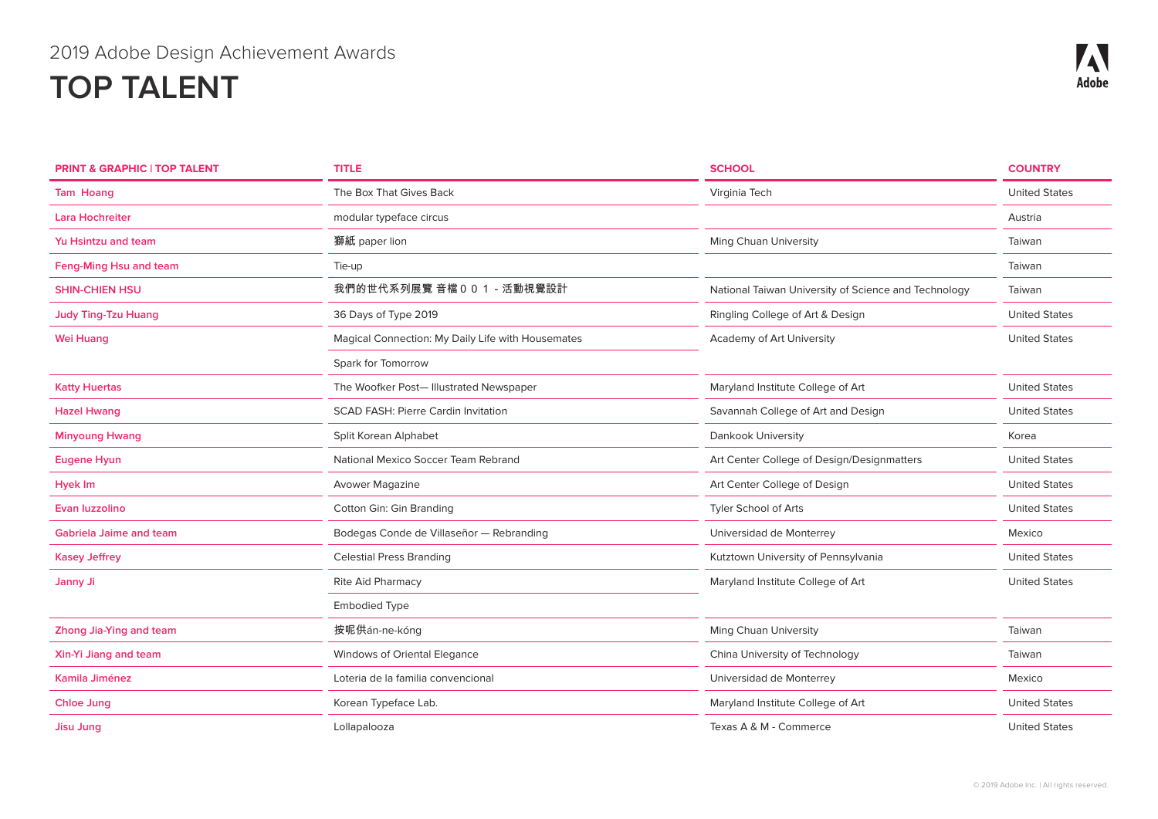| <b>PRINT &amp; GRAPHIC   TOP TALENT</b> | <b>TITLE</b>                                      | <b>SCHOOL</b>                                        | <b>COUNTRY</b>       |
|-----------------------------------------|---------------------------------------------------|------------------------------------------------------|----------------------|
| <b>Tam Hoang</b>                        | The Box That Gives Back                           | Virginia Tech                                        | <b>United States</b> |
| <b>Lara Hochreiter</b>                  | modular typeface circus                           |                                                      | Austria              |
| Yu Hsintzu and team                     | 獅紙 paper lion                                     | Ming Chuan University                                | Taiwan               |
| Feng-Ming Hsu and team                  | Tie-up                                            |                                                      | Taiwan               |
| <b>SHIN-CHIEN HSU</b>                   | 我們的世代系列展覽 音檔 0 0 1 - 活動視覺設計                       | National Taiwan University of Science and Technology | Taiwan               |
| <b>Judy Ting-Tzu Huang</b>              | 36 Days of Type 2019                              | Ringling College of Art & Design                     | <b>United States</b> |
| <b>Wei Huang</b>                        | Magical Connection: My Daily Life with Housemates | Academy of Art University                            | <b>United States</b> |
|                                         | Spark for Tomorrow                                |                                                      |                      |
| <b>Katty Huertas</b>                    | The Woofker Post- Illustrated Newspaper           | Maryland Institute College of Art                    | <b>United States</b> |
| <b>Hazel Hwang</b>                      | <b>SCAD FASH: Pierre Cardin Invitation</b>        | Savannah College of Art and Design                   | <b>United States</b> |
| <b>Minyoung Hwang</b>                   | Split Korean Alphabet                             | Dankook University                                   | Korea                |
| <b>Eugene Hyun</b>                      | National Mexico Soccer Team Rebrand               | Art Center College of Design/Designmatters           | <b>United States</b> |
| Hyek Im                                 | Avower Magazine                                   | Art Center College of Design                         | <b>United States</b> |
| Evan luzzolino                          | Cotton Gin: Gin Branding                          | Tyler School of Arts                                 | <b>United States</b> |
| <b>Gabriela Jaime and team</b>          | Bodegas Conde de Villaseñor - Rebranding          | Universidad de Monterrey                             | Mexico               |
| <b>Kasey Jeffrey</b>                    | <b>Celestial Press Branding</b>                   | Kutztown University of Pennsylvania                  | <b>United States</b> |
| Janny Ji                                | Rite Aid Pharmacy                                 | Maryland Institute College of Art                    | <b>United States</b> |
|                                         | <b>Embodied Type</b>                              |                                                      |                      |
| Zhong Jia-Ying and team                 | 按呢供án-ne-kóng                                     | Ming Chuan University                                | Taiwan               |
| Xin-Yi Jiang and team                   | Windows of Oriental Elegance                      | China University of Technology                       | Taiwan               |
| Kamila Jiménez                          | Loteria de la familia convencional                | Universidad de Monterrey                             | Mexico               |
| <b>Chloe Jung</b>                       | Korean Typeface Lab.                              | Maryland Institute College of Art                    | <b>United States</b> |
| <b>Jisu Jung</b>                        | Lollapalooza                                      | Texas A & M - Commerce                               | <b>United States</b> |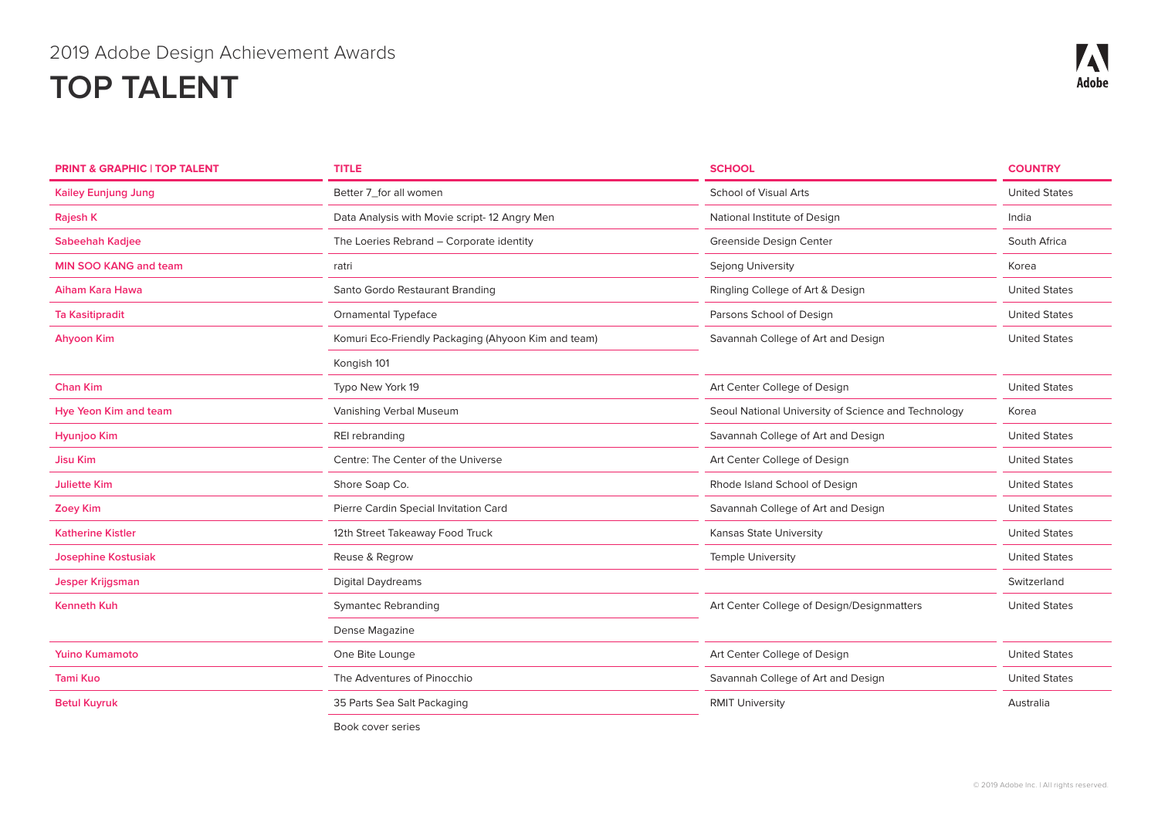| <b>PRINT &amp; GRAPHIC   TOP TALENT</b> | <b>TITLE</b>                                        | <b>SCHOOL</b>                                       | <b>COUNTRY</b>       |
|-----------------------------------------|-----------------------------------------------------|-----------------------------------------------------|----------------------|
| <b>Kailey Eunjung Jung</b>              | Better 7_for all women                              | <b>School of Visual Arts</b>                        | <b>United States</b> |
| Rajesh K                                | Data Analysis with Movie script-12 Angry Men        | National Institute of Design                        | India                |
| <b>Sabeehah Kadjee</b>                  | The Loeries Rebrand - Corporate identity            | Greenside Design Center                             | South Africa         |
| <b>MIN SOO KANG and team</b>            | ratri                                               | Sejong University                                   | Korea                |
| Aiham Kara Hawa                         | Santo Gordo Restaurant Branding                     | Ringling College of Art & Design                    | <b>United States</b> |
| <b>Ta Kasitipradit</b>                  | <b>Ornamental Typeface</b>                          | Parsons School of Design                            | <b>United States</b> |
| <b>Ahyoon Kim</b>                       | Komuri Eco-Friendly Packaging (Ahyoon Kim and team) | Savannah College of Art and Design                  | <b>United States</b> |
|                                         | Kongish 101                                         |                                                     |                      |
| <b>Chan Kim</b>                         | Typo New York 19                                    | Art Center College of Design                        | <b>United States</b> |
| <b>Hye Yeon Kim and team</b>            | Vanishing Verbal Museum                             | Seoul National University of Science and Technology | Korea                |
| Hyunjoo Kim                             | REI rebranding                                      | Savannah College of Art and Design                  | <b>United States</b> |
| <b>Jisu Kim</b>                         | Centre: The Center of the Universe                  | Art Center College of Design                        | <b>United States</b> |
| <b>Juliette Kim</b>                     | Shore Soap Co.                                      | Rhode Island School of Design                       | <b>United States</b> |
| <b>Zoey Kim</b>                         | Pierre Cardin Special Invitation Card               | Savannah College of Art and Design                  | <b>United States</b> |
| <b>Katherine Kistler</b>                | 12th Street Takeaway Food Truck                     | Kansas State University                             | <b>United States</b> |
| <b>Josephine Kostusiak</b>              | Reuse & Regrow                                      | <b>Temple University</b>                            | <b>United States</b> |
| <b>Jesper Krijgsman</b>                 | <b>Digital Daydreams</b>                            |                                                     | Switzerland          |
| <b>Kenneth Kuh</b>                      | <b>Symantec Rebranding</b>                          | Art Center College of Design/Designmatters          | <b>United States</b> |
|                                         | Dense Magazine                                      |                                                     |                      |
| <b>Yuino Kumamoto</b>                   | One Bite Lounge                                     | Art Center College of Design                        | <b>United States</b> |
| <b>Tami Kuo</b>                         | The Adventures of Pinocchio                         | Savannah College of Art and Design                  | <b>United States</b> |
| <b>Betul Kuyruk</b>                     | 35 Parts Sea Salt Packaging                         | <b>RMIT University</b>                              | Australia            |

Book cover series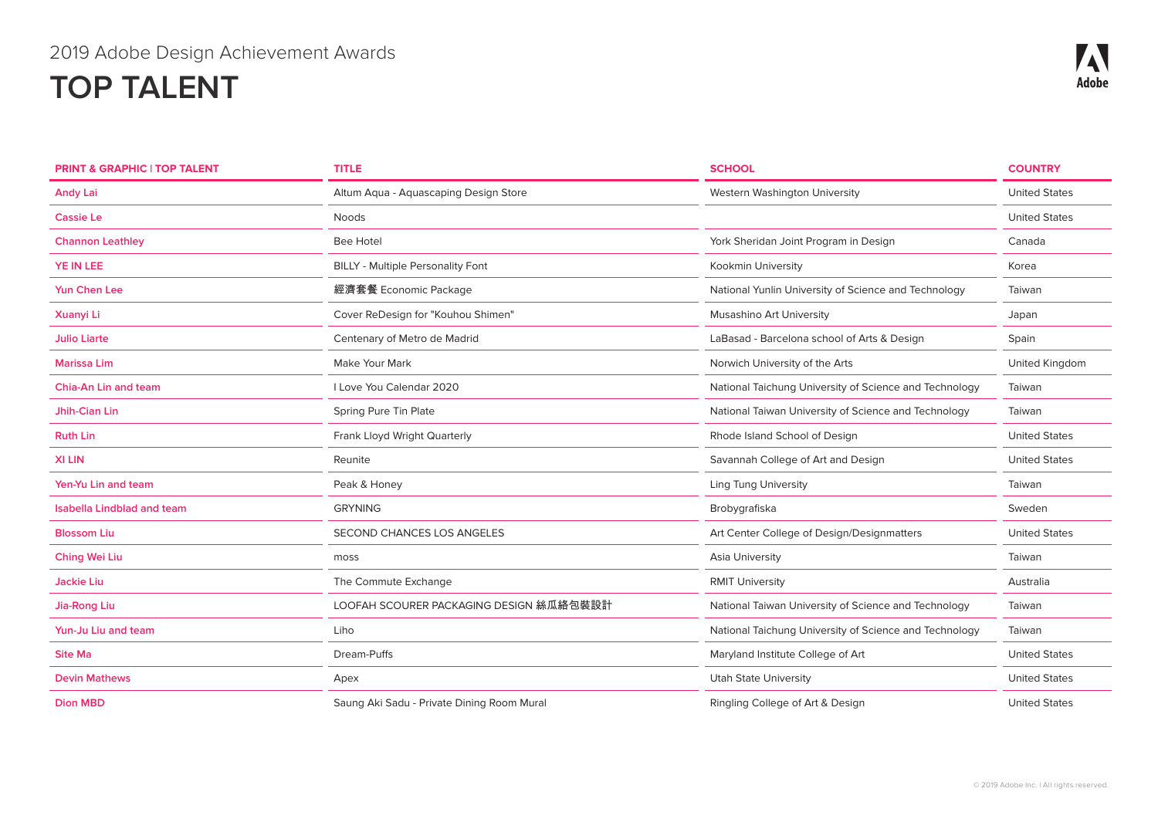| <b>PRINT &amp; GRAPHIC   TOP TALENT</b> | <b>TITLE</b>                               | <b>SCHOOL</b>                                          | <b>COUNTRY</b>       |
|-----------------------------------------|--------------------------------------------|--------------------------------------------------------|----------------------|
| <b>Andy Lai</b>                         | Altum Aqua - Aquascaping Design Store      | Western Washington University                          | <b>United States</b> |
| <b>Cassie Le</b>                        | Noods                                      |                                                        | <b>United States</b> |
| <b>Channon Leathley</b>                 | <b>Bee Hotel</b>                           | York Sheridan Joint Program in Design                  | Canada               |
| <b>YE IN LEE</b>                        | <b>BILLY - Multiple Personality Font</b>   | Kookmin University                                     | Korea                |
| <b>Yun Chen Lee</b>                     | 經濟套餐 Economic Package                      | National Yunlin University of Science and Technology   | Taiwan               |
| <b>Xuanyi Li</b>                        | Cover ReDesign for "Kouhou Shimen"         | Musashino Art University                               | Japan                |
| <b>Julio Liarte</b>                     | Centenary of Metro de Madrid               | LaBasad - Barcelona school of Arts & Design            | Spain                |
| <b>Marissa Lim</b>                      | Make Your Mark                             | Norwich University of the Arts                         | United Kingdom       |
| Chia-An Lin and team                    | I Love You Calendar 2020                   | National Taichung University of Science and Technology | Taiwan               |
| Jhih-Cian Lin                           | Spring Pure Tin Plate                      | National Taiwan University of Science and Technology   | Taiwan               |
| <b>Ruth Lin</b>                         | Frank Lloyd Wright Quarterly               | Rhode Island School of Design                          | <b>United States</b> |
| <b>XILIN</b>                            | Reunite                                    | Savannah College of Art and Design                     | <b>United States</b> |
| Yen-Yu Lin and team                     | Peak & Honey                               | <b>Ling Tung University</b>                            | Taiwan               |
| <b>Isabella Lindblad and team</b>       | <b>GRYNING</b>                             | Brobygrafiska                                          | Sweden               |
| <b>Blossom Liu</b>                      | SECOND CHANCES LOS ANGELES                 | Art Center College of Design/Designmatters             | <b>United States</b> |
| Ching Wei Liu                           | moss                                       | Asia University                                        | Taiwan               |
| <b>Jackie Liu</b>                       | The Commute Exchange                       | <b>RMIT University</b>                                 | Australia            |
| Jia-Rong Liu                            | LOOFAH SCOURER PACKAGING DESIGN 絲瓜絡包裝設計    | National Taiwan University of Science and Technology   | Taiwan               |
| Yun-Ju Liu and team                     | Liho                                       | National Taichung University of Science and Technology | Taiwan               |
| <b>Site Ma</b>                          | Dream-Puffs                                | Maryland Institute College of Art                      | <b>United States</b> |
| <b>Devin Mathews</b>                    | Apex                                       | Utah State University                                  | <b>United States</b> |
| <b>Dion MBD</b>                         | Saung Aki Sadu - Private Dining Room Mural | Ringling College of Art & Design                       | <b>United States</b> |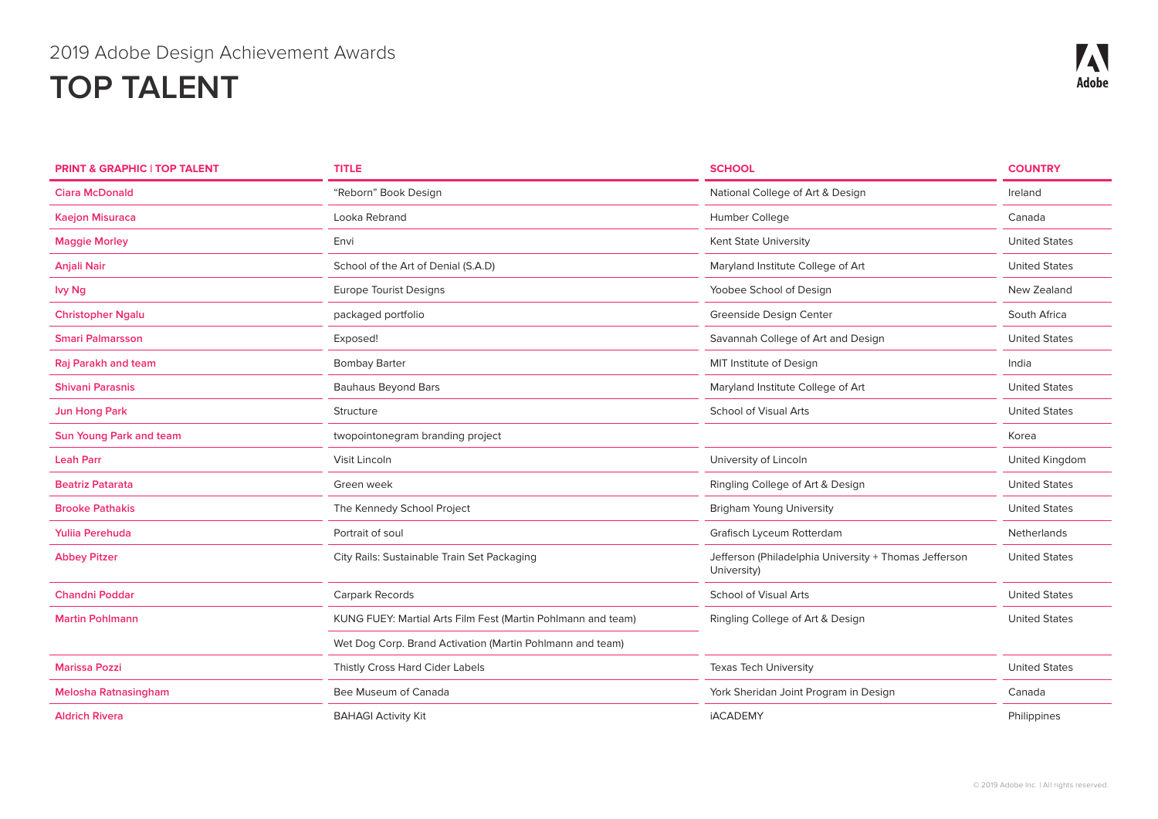| <b>PRINT &amp; GRAPHIC   TOP TALENT</b> | <b>TITLE</b>                                                 | <b>SCHOOL</b>                                                        | <b>COUNTRY</b>       |
|-----------------------------------------|--------------------------------------------------------------|----------------------------------------------------------------------|----------------------|
| Ciara McDonald                          | "Reborn" Book Design                                         | National College of Art & Design                                     | Ireland              |
| <b>Kaejon Misuraca</b>                  | Looka Rebrand                                                | Humber College                                                       | Canada               |
| <b>Maggie Morley</b>                    | Envi                                                         | Kent State University                                                | <b>United States</b> |
| <b>Anjali Nair</b>                      | School of the Art of Denial (S.A.D)                          | Maryland Institute College of Art                                    | <b>United States</b> |
| lvy Ng                                  | <b>Europe Tourist Designs</b>                                | Yoobee School of Design                                              | New Zealand          |
| <b>Christopher Ngalu</b>                | packaged portfolio                                           | Greenside Design Center                                              | South Africa         |
| <b>Smari Palmarsson</b>                 | Exposed!                                                     | Savannah College of Art and Design                                   | <b>United States</b> |
| Raj Parakh and team                     | <b>Bombay Barter</b>                                         | MIT Institute of Design                                              | India                |
| <b>Shivani Parasnis</b>                 | <b>Bauhaus Beyond Bars</b>                                   | Maryland Institute College of Art                                    | <b>United States</b> |
| <b>Jun Hong Park</b>                    | Structure                                                    | <b>School of Visual Arts</b>                                         | <b>United States</b> |
| <b>Sun Young Park and team</b>          | twopointonegram branding project                             |                                                                      | Korea                |
| <b>Leah Parr</b>                        | Visit Lincoln                                                | University of Lincoln                                                | United Kingdom       |
| <b>Beatriz Patarata</b>                 | Green week                                                   | Ringling College of Art & Design                                     | <b>United States</b> |
| <b>Brooke Pathakis</b>                  | The Kennedy School Project                                   | <b>Brigham Young University</b>                                      | <b>United States</b> |
| Yulija Perehuda                         | Portrait of soul                                             | Grafisch Lyceum Rotterdam                                            | Netherlands          |
| <b>Abbey Pitzer</b>                     | City Rails: Sustainable Train Set Packaging                  | Jefferson (Philadelphia University + Thomas Jefferson<br>University) | <b>United States</b> |
| <b>Chandni Poddar</b>                   | Carpark Records                                              | <b>School of Visual Arts</b>                                         | <b>United States</b> |
| <b>Martin Pohlmann</b>                  | KUNG FUEY: Martial Arts Film Fest (Martin Pohlmann and team) | Ringling College of Art & Design                                     | <b>United States</b> |
|                                         | Wet Dog Corp. Brand Activation (Martin Pohlmann and team)    |                                                                      |                      |
| <b>Marissa Pozzi</b>                    | Thistly Cross Hard Cider Labels                              | <b>Texas Tech University</b>                                         | <b>United States</b> |
| <b>Melosha Ratnasingham</b>             | Bee Museum of Canada                                         | York Sheridan Joint Program in Design                                | Canada               |
| <b>Aldrich Rivera</b>                   | <b>BAHAGI Activity Kit</b>                                   | <b>İACADEMY</b>                                                      | Philippines          |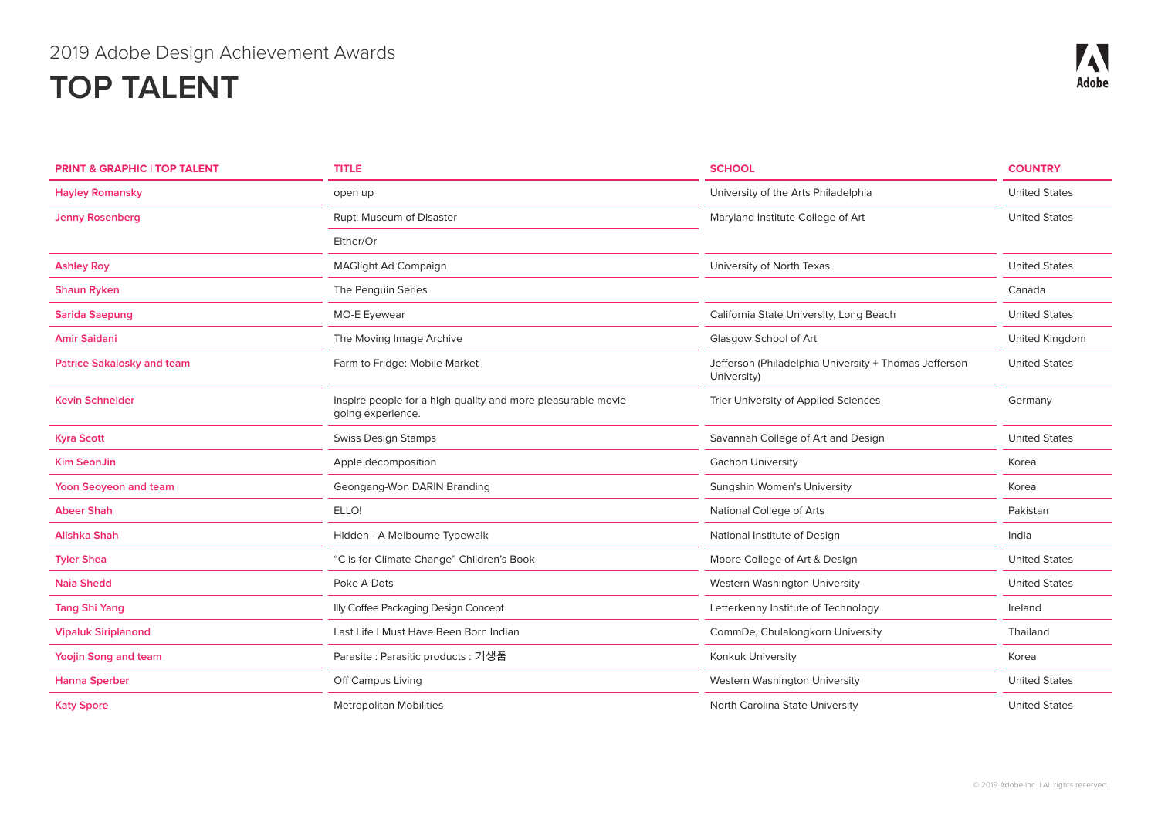| <b>PRINT &amp; GRAPHIC   TOP TALENT</b> | <b>TITLE</b>                                                                      | <b>SCHOOL</b>                                                        | <b>COUNTRY</b>       |
|-----------------------------------------|-----------------------------------------------------------------------------------|----------------------------------------------------------------------|----------------------|
| <b>Hayley Romansky</b>                  | open up                                                                           | University of the Arts Philadelphia                                  | <b>United States</b> |
| <b>Jenny Rosenberg</b>                  | Rupt: Museum of Disaster                                                          | Maryland Institute College of Art                                    | <b>United States</b> |
|                                         | Either/Or                                                                         |                                                                      |                      |
| <b>Ashley Roy</b>                       | <b>MAGlight Ad Compaign</b>                                                       | University of North Texas                                            | <b>United States</b> |
| <b>Shaun Ryken</b>                      | The Penguin Series                                                                |                                                                      | Canada               |
| <b>Sarida Saepung</b>                   | MO-E Eyewear                                                                      | California State University, Long Beach                              | <b>United States</b> |
| <b>Amir Saidani</b>                     | The Moving Image Archive                                                          | Glasgow School of Art                                                | United Kingdom       |
| <b>Patrice Sakalosky and team</b>       | Farm to Fridge: Mobile Market                                                     | Jefferson (Philadelphia University + Thomas Jefferson<br>University) | <b>United States</b> |
| <b>Kevin Schneider</b>                  | Inspire people for a high-quality and more pleasurable movie<br>going experience. | Trier University of Applied Sciences                                 | Germany              |
| <b>Kyra Scott</b>                       | <b>Swiss Design Stamps</b>                                                        | Savannah College of Art and Design                                   | <b>United States</b> |
| <b>Kim SeonJin</b>                      | Apple decomposition                                                               | <b>Gachon University</b>                                             | Korea                |
| Yoon Seoyeon and team                   | Geongang-Won DARIN Branding                                                       | Sungshin Women's University                                          | Korea                |
| <b>Abeer Shah</b>                       | ELLO!                                                                             | National College of Arts                                             | Pakistan             |
| Alishka Shah                            | Hidden - A Melbourne Typewalk                                                     | National Institute of Design                                         | India                |
| <b>Tyler Shea</b>                       | "C is for Climate Change" Children's Book                                         | Moore College of Art & Design                                        | <b>United States</b> |
| <b>Naia Shedd</b>                       | Poke A Dots                                                                       | Western Washington University                                        | <b>United States</b> |
| <b>Tang Shi Yang</b>                    | Illy Coffee Packaging Design Concept                                              | Letterkenny Institute of Technology                                  | Ireland              |
| <b>Vipaluk Siriplanond</b>              | Last Life I Must Have Been Born Indian                                            | CommDe, Chulalongkorn University                                     | Thailand             |
| <b>Yoojin Song and team</b>             | Parasite : Parasitic products : 기생품                                               | Konkuk University                                                    | Korea                |
| <b>Hanna Sperber</b>                    | Off Campus Living                                                                 | Western Washington University                                        | <b>United States</b> |
| <b>Katy Spore</b>                       | <b>Metropolitan Mobilities</b>                                                    | North Carolina State University                                      | <b>United States</b> |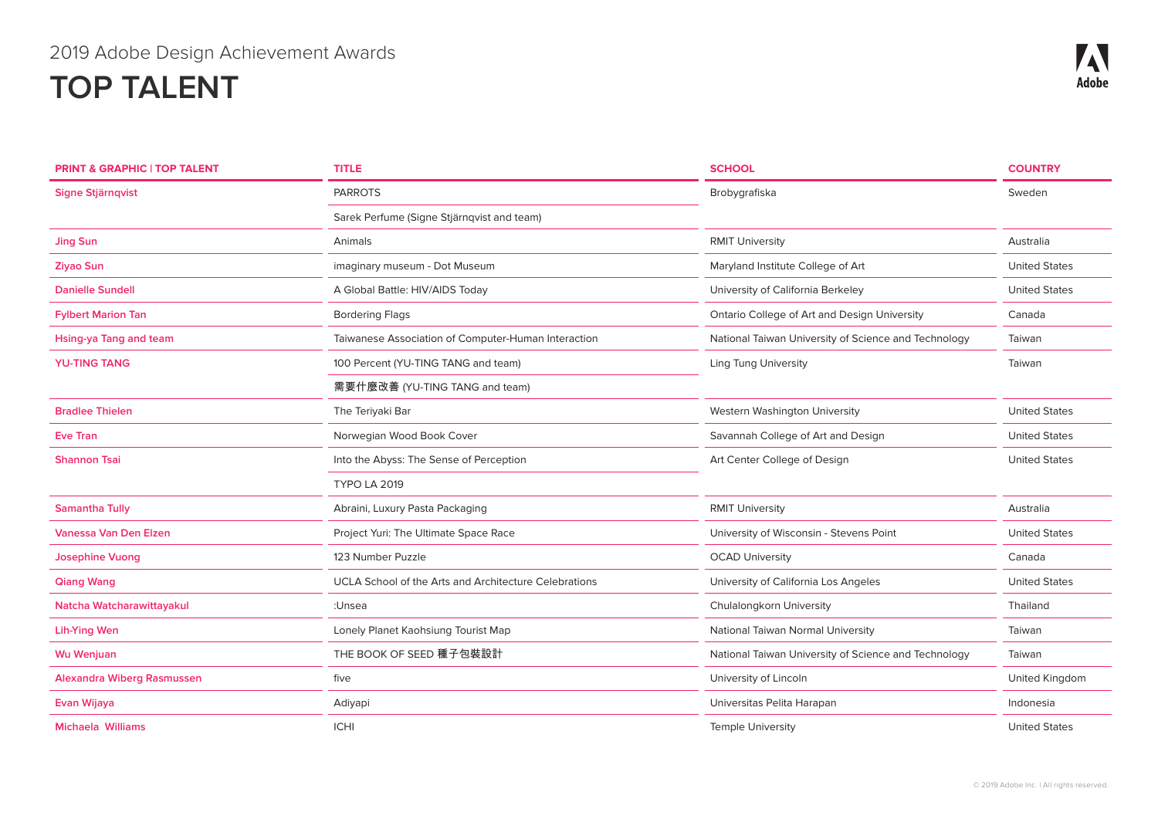| <b>PRINT &amp; GRAPHIC   TOP TALENT</b> | <b>TITLE</b>                                          | <b>SCHOOL</b>                                        | <b>COUNTRY</b>       |
|-----------------------------------------|-------------------------------------------------------|------------------------------------------------------|----------------------|
| Signe Stjärnqvist                       | <b>PARROTS</b>                                        | Brobygrafiska                                        | Sweden               |
|                                         | Sarek Perfume (Signe Stjärnqvist and team)            |                                                      |                      |
| <b>Jing Sun</b>                         | Animals                                               | <b>RMIT University</b>                               | Australia            |
| <b>Ziyao Sun</b>                        | imaginary museum - Dot Museum                         | Maryland Institute College of Art                    | <b>United States</b> |
| <b>Danielle Sundell</b>                 | A Global Battle: HIV/AIDS Today                       | University of California Berkeley                    | <b>United States</b> |
| <b>Fylbert Marion Tan</b>               | <b>Bordering Flags</b>                                | Ontario College of Art and Design University         | Canada               |
| Hsing-ya Tang and team                  | Taiwanese Association of Computer-Human Interaction   | National Taiwan University of Science and Technology | Taiwan               |
| <b>YU-TING TANG</b>                     | 100 Percent (YU-TING TANG and team)                   | <b>Ling Tung University</b>                          | Taiwan               |
|                                         | 需要什麼改善 (YU-TING TANG and team)                        |                                                      |                      |
| <b>Bradlee Thielen</b>                  | The Teriyaki Bar                                      | Western Washington University                        | <b>United States</b> |
| <b>Eve Tran</b>                         | Norwegian Wood Book Cover                             | Savannah College of Art and Design                   | <b>United States</b> |
| <b>Shannon Tsai</b>                     | Into the Abyss: The Sense of Perception               | Art Center College of Design                         | <b>United States</b> |
|                                         | <b>TYPO LA 2019</b>                                   |                                                      |                      |
| <b>Samantha Tully</b>                   | Abraini, Luxury Pasta Packaging                       | <b>RMIT University</b>                               | Australia            |
| <b>Vanessa Van Den Elzen</b>            | Project Yuri: The Ultimate Space Race                 | University of Wisconsin - Stevens Point              | <b>United States</b> |
| <b>Josephine Vuong</b>                  | 123 Number Puzzle                                     | <b>OCAD University</b>                               | Canada               |
| <b>Qiang Wang</b>                       | UCLA School of the Arts and Architecture Celebrations | University of California Los Angeles                 | <b>United States</b> |
| Natcha Watcharawittayakul               | :Unsea                                                | Chulalongkorn University                             | Thailand             |
| <b>Lih-Ying Wen</b>                     | Lonely Planet Kaohsiung Tourist Map                   | National Taiwan Normal University                    | Taiwan               |
| <b>Wu Wenjuan</b>                       | THE BOOK OF SEED 種子包裝設計                               | National Taiwan University of Science and Technology | Taiwan               |
| <b>Alexandra Wiberg Rasmussen</b>       | five                                                  | University of Lincoln                                | United Kingdom       |
| Evan Wijaya                             | Adiyapi                                               | Universitas Pelita Harapan                           | Indonesia            |
| <b>Michaela Williams</b>                | <b>ICHI</b>                                           | <b>Temple University</b>                             | <b>United States</b> |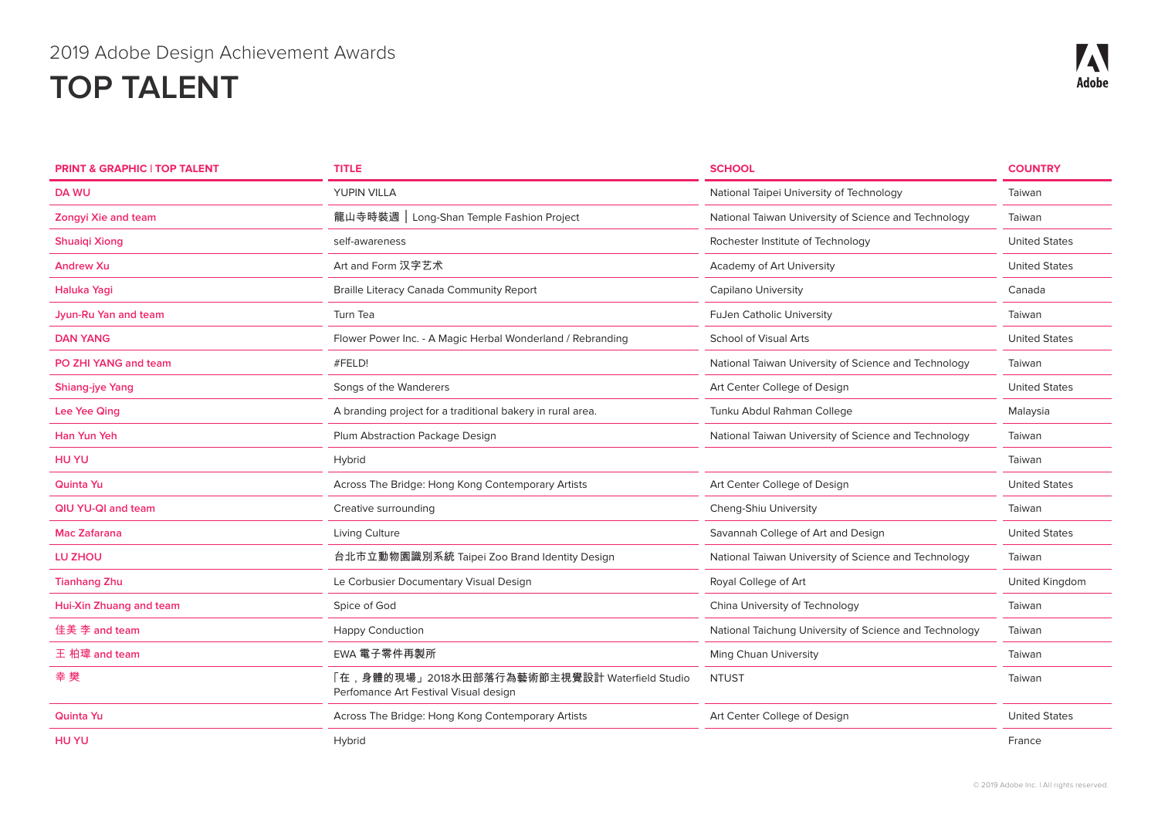| <b>PRINT &amp; GRAPHIC   TOP TALENT</b> | <b>TITLE</b>                                                                           | <b>SCHOOL</b>                                          | <b>COUNTRY</b>       |
|-----------------------------------------|----------------------------------------------------------------------------------------|--------------------------------------------------------|----------------------|
| <b>DA WU</b>                            | YUPIN VILLA                                                                            | National Taipei University of Technology               | Taiwan               |
| <b>Zongyi Xie and team</b>              | 龍山寺時裝週   Long-Shan Temple Fashion Project                                              | National Taiwan University of Science and Technology   | Taiwan               |
| <b>Shuaiqi Xiong</b>                    | self-awareness                                                                         | Rochester Institute of Technology                      | <b>United States</b> |
| <b>Andrew Xu</b>                        | Art and Form 汉字艺术                                                                      | Academy of Art University                              | <b>United States</b> |
| Haluka Yagi                             | <b>Braille Literacy Canada Community Report</b>                                        | <b>Capilano University</b>                             | Canada               |
| Jyun-Ru Yan and team                    | Turn Tea                                                                               | <b>FuJen Catholic University</b>                       | Taiwan               |
| <b>DAN YANG</b>                         | Flower Power Inc. - A Magic Herbal Wonderland / Rebranding                             | <b>School of Visual Arts</b>                           | <b>United States</b> |
| PO ZHI YANG and team                    | #FELD!                                                                                 | National Taiwan University of Science and Technology   | Taiwan               |
| <b>Shiang-jye Yang</b>                  | Songs of the Wanderers                                                                 | Art Center College of Design                           | <b>United States</b> |
| Lee Yee Qing                            | A branding project for a traditional bakery in rural area.                             | Tunku Abdul Rahman College                             | Malaysia             |
| Han Yun Yeh                             | Plum Abstraction Package Design                                                        | National Taiwan University of Science and Technology   | Taiwan               |
| <b>HUYU</b>                             | Hybrid                                                                                 |                                                        | Taiwan               |
| <b>Quinta Yu</b>                        | Across The Bridge: Hong Kong Contemporary Artists                                      | Art Center College of Design                           | <b>United States</b> |
| QIU YU-QI and team                      | Creative surrounding                                                                   | Cheng-Shiu University                                  | Taiwan               |
| <b>Mac Zafarana</b>                     | Living Culture                                                                         | Savannah College of Art and Design                     | <b>United States</b> |
| LU ZHOU                                 | 台北市立動物園識別系統 Taipei Zoo Brand Identity Design                                           | National Taiwan University of Science and Technology   | Taiwan               |
| <b>Tianhang Zhu</b>                     | Le Corbusier Documentary Visual Design                                                 | Royal College of Art                                   | United Kingdom       |
| Hui-Xin Zhuang and team                 | Spice of God                                                                           | China University of Technology                         | Taiwan               |
| 佳美 李 and team                           | <b>Happy Conduction</b>                                                                | National Taichung University of Science and Technology | Taiwan               |
| 王 柏瑋 and team                           | EWA 電子零件再製所                                                                            | Ming Chuan University                                  | Taiwan               |
| 幸樊                                      | 「在,身體的現場」2018水田部落行為藝術節主視覺設計 Waterfield Studio<br>Perfomance Art Festival Visual design | <b>NTUST</b>                                           | Taiwan               |
| <b>Quinta Yu</b>                        | Across The Bridge: Hong Kong Contemporary Artists                                      | Art Center College of Design                           | <b>United States</b> |
| <b>HUYU</b>                             | Hybrid                                                                                 |                                                        | France               |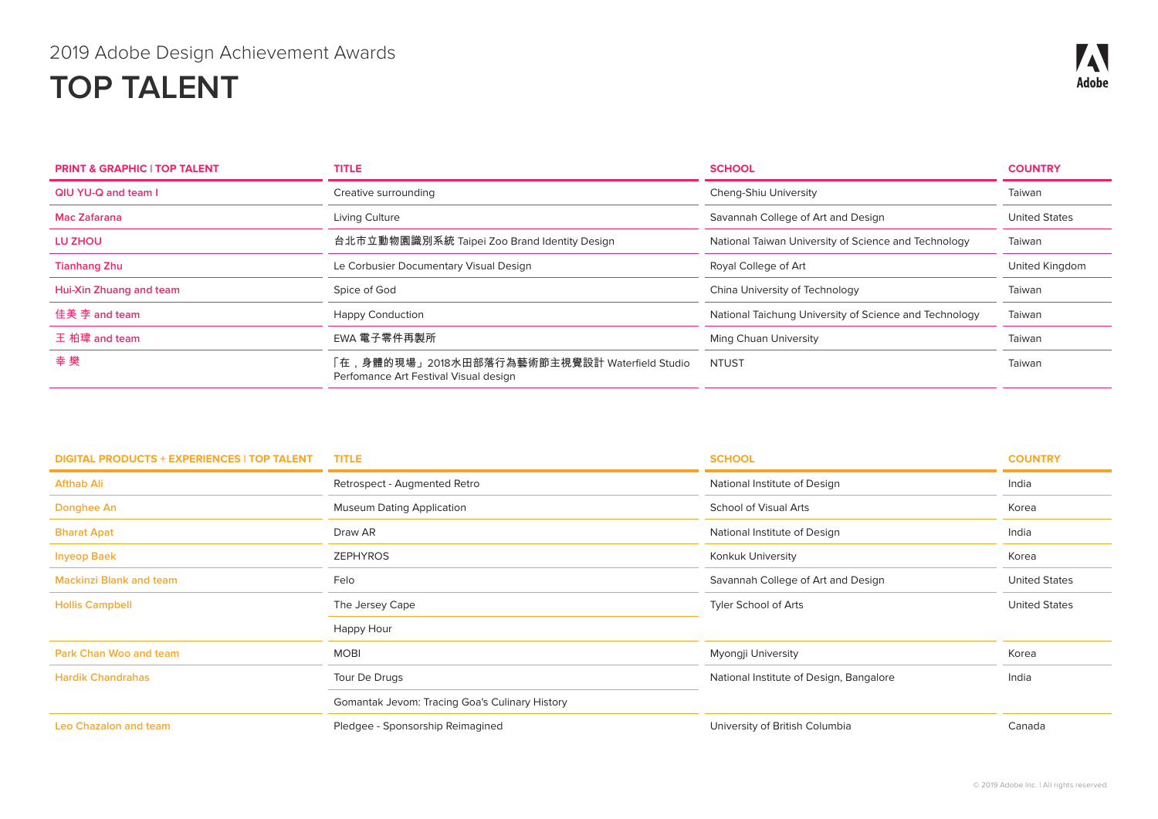# 2019 Adobe Design Achievement Awards

# **TOP TALENT**

| <b>PRINT &amp; GRAPHIC   TOP TALENT</b> | <b>TITLE</b>                                                                              | <b>SCHOOL</b>                                          | <b>COUNTRY</b>       |
|-----------------------------------------|-------------------------------------------------------------------------------------------|--------------------------------------------------------|----------------------|
| QIU YU-Q and team I                     | Creative surrounding                                                                      | Cheng-Shiu University                                  | Taiwan               |
| Mac Zafarana                            | Living Culture                                                                            | Savannah College of Art and Design                     | <b>United States</b> |
| LU ZHOU                                 | 台北市立動物園識別系統 Taipei Zoo Brand Identity Design                                              | National Taiwan University of Science and Technology   | Taiwan               |
| <b>Tianhang Zhu</b>                     | Le Corbusier Documentary Visual Design                                                    | Royal College of Art                                   | United Kingdom       |
| Hui-Xin Zhuang and team                 | Spice of God                                                                              | China University of Technology                         | Taiwan               |
| 佳美 李 and team                           | <b>Happy Conduction</b>                                                                   | National Taichung University of Science and Technology | Taiwan               |
| 王 柏瑋 and team                           | EWA 電子零件再製所                                                                               | Ming Chuan University                                  | Taiwan               |
| 幸樊                                      | ,身體的現場」2018水田部落行為藝術節主視覺設計 Waterfield Studio<br>在<br>Perfomance Art Festival Visual design | <b>NTUST</b>                                           | Taiwan               |

| <b>DIGITAL PRODUCTS + EXPERIENCES   TOP TALENT</b> | <b>TITLE</b>                                   | <b>SCHOOL</b>                           | <b>COUNTRY</b>       |
|----------------------------------------------------|------------------------------------------------|-----------------------------------------|----------------------|
| <b>Afthab Ali</b>                                  | Retrospect - Augmented Retro                   | National Institute of Design            | India                |
| Donghee An                                         | <b>Museum Dating Application</b>               | School of Visual Arts                   | Korea                |
| <b>Bharat Apat</b>                                 | Draw AR                                        | National Institute of Design            | India                |
| <b>Inyeop Baek</b>                                 | <b>ZEPHYROS</b>                                | Konkuk University                       | Korea                |
| <b>Mackinzi Blank and team</b>                     | Felo                                           | Savannah College of Art and Design      | <b>United States</b> |
| <b>Hollis Campbell</b>                             | The Jersey Cape                                | Tyler School of Arts                    | <b>United States</b> |
|                                                    | Happy Hour                                     |                                         |                      |
| <b>Park Chan Woo and team</b>                      | <b>MOBI</b>                                    | Myongji University                      | Korea                |
| <b>Hardik Chandrahas</b>                           | Tour De Drugs                                  | National Institute of Design, Bangalore | India                |
|                                                    | Gomantak Jevom: Tracing Goa's Culinary History |                                         |                      |
| <b>Leo Chazalon and team</b>                       | Pledgee - Sponsorship Reimagined               | University of British Columbia          | Canada               |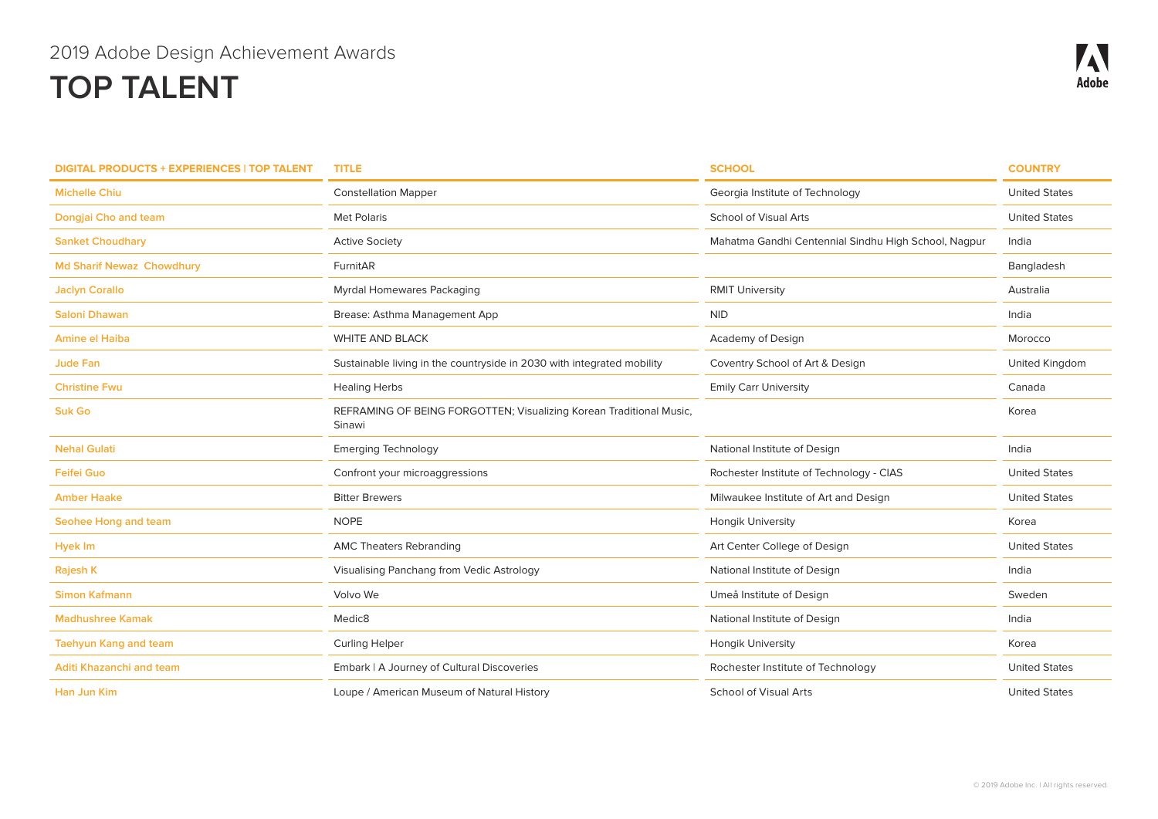| <b>DIGITAL PRODUCTS + EXPERIENCES   TOP TALENT</b> | <b>TITLE</b>                                                                  | <b>SCHOOL</b>                                        | <b>COUNTRY</b>       |
|----------------------------------------------------|-------------------------------------------------------------------------------|------------------------------------------------------|----------------------|
| <b>Michelle Chiu</b>                               | <b>Constellation Mapper</b>                                                   | Georgia Institute of Technology                      | <b>United States</b> |
| Dongjai Cho and team                               | <b>Met Polaris</b>                                                            | School of Visual Arts                                | <b>United States</b> |
| <b>Sanket Choudhary</b>                            | <b>Active Society</b>                                                         | Mahatma Gandhi Centennial Sindhu High School, Nagpur | India                |
| <b>Md Sharif Newaz Chowdhury</b>                   | FurnitAR                                                                      |                                                      | Bangladesh           |
| <b>Jaclyn Corallo</b>                              | Myrdal Homewares Packaging                                                    | <b>RMIT University</b>                               | Australia            |
| <b>Saloni Dhawan</b>                               | Brease: Asthma Management App                                                 | <b>NID</b>                                           | India                |
| <b>Amine el Haiba</b>                              | <b>WHITE AND BLACK</b>                                                        | Academy of Design                                    | Morocco              |
| <b>Jude Fan</b>                                    | Sustainable living in the countryside in 2030 with integrated mobility        | Coventry School of Art & Design                      | United Kingdom       |
| <b>Christine Fwu</b>                               | <b>Healing Herbs</b>                                                          | <b>Emily Carr University</b>                         | Canada               |
| <b>Suk Go</b>                                      | REFRAMING OF BEING FORGOTTEN; Visualizing Korean Traditional Music,<br>Sinawi |                                                      | Korea                |
| <b>Nehal Gulati</b>                                | <b>Emerging Technology</b>                                                    | National Institute of Design                         | India                |
| <b>Feifei Guo</b>                                  | Confront your microaggressions                                                | Rochester Institute of Technology - CIAS             | <b>United States</b> |
| <b>Amber Haake</b>                                 | <b>Bitter Brewers</b>                                                         | Milwaukee Institute of Art and Design                | <b>United States</b> |
| Seohee Hong and team                               | <b>NOPE</b>                                                                   | <b>Hongik University</b>                             | Korea                |
| <b>Hyek Im</b>                                     | <b>AMC Theaters Rebranding</b>                                                | Art Center College of Design                         | <b>United States</b> |
| Rajesh K                                           | Visualising Panchang from Vedic Astrology                                     | National Institute of Design                         | India                |
| <b>Simon Kafmann</b>                               | Volvo We                                                                      | Umeå Institute of Design                             | Sweden               |
| <b>Madhushree Kamak</b>                            | Medic <sub>8</sub>                                                            | National Institute of Design                         | India                |
| <b>Taehyun Kang and team</b>                       | <b>Curling Helper</b>                                                         | <b>Hongik University</b>                             | Korea                |
| Aditi Khazanchi and team                           | Embark   A Journey of Cultural Discoveries                                    | Rochester Institute of Technology                    | <b>United States</b> |
| <b>Han Jun Kim</b>                                 | Loupe / American Museum of Natural History                                    | <b>School of Visual Arts</b>                         | <b>United States</b> |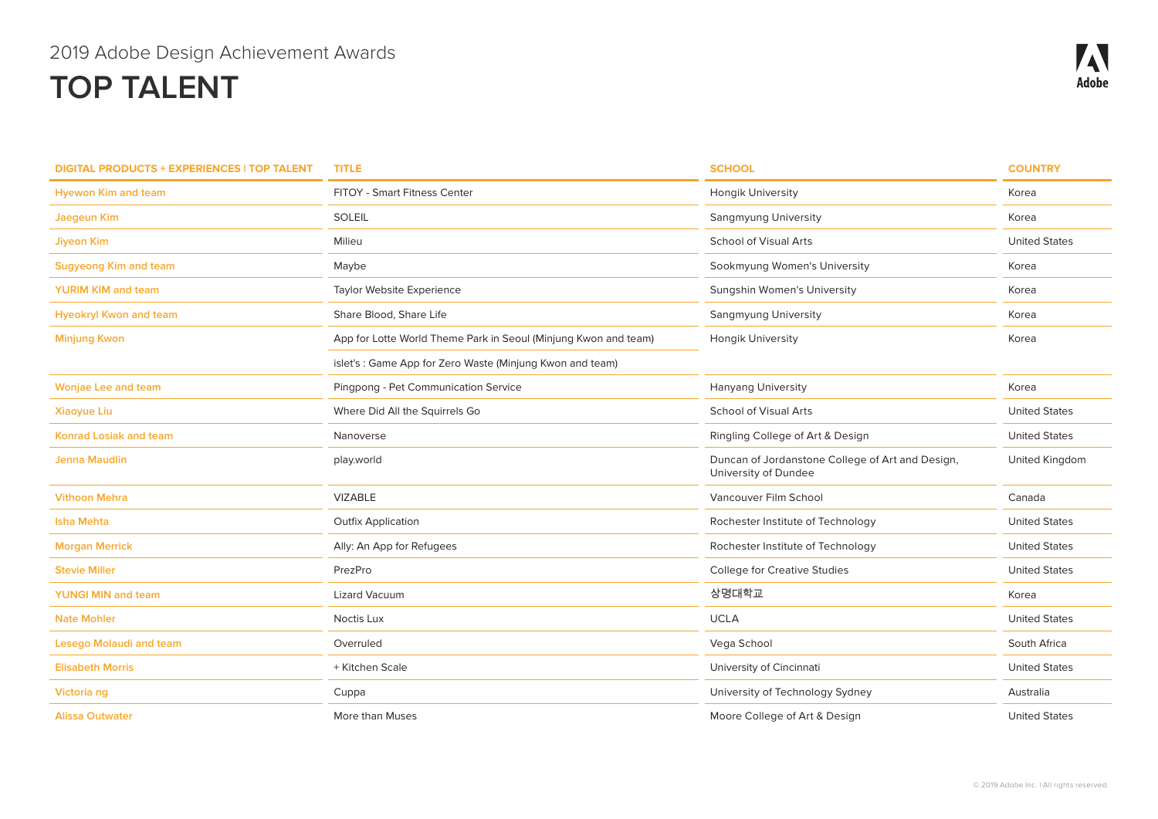| <b>DIGITAL PRODUCTS + EXPERIENCES   TOP TALENT</b> | <b>TITLE</b>                                                    | <b>SCHOOL</b>                                                            | <b>COUNTRY</b>       |
|----------------------------------------------------|-----------------------------------------------------------------|--------------------------------------------------------------------------|----------------------|
| <b>Hyewon Kim and team</b>                         | FITOY - Smart Fitness Center                                    | Hongik University                                                        | Korea                |
| Jaegeun Kim                                        | <b>SOLEIL</b>                                                   | Sangmyung University                                                     | Korea                |
| <b>Jiyeon Kim</b>                                  | Milieu                                                          | <b>School of Visual Arts</b>                                             | <b>United States</b> |
| <b>Sugyeong Kim and team</b>                       | Maybe                                                           | Sookmyung Women's University                                             | Korea                |
| <b>YURIM KIM and team</b>                          | Taylor Website Experience                                       | Sungshin Women's University                                              | Korea                |
| <b>Hyeokryl Kwon and team</b>                      | Share Blood, Share Life                                         | <b>Sangmyung University</b>                                              | Korea                |
| <b>Minjung Kwon</b>                                | App for Lotte World Theme Park in Seoul (Minjung Kwon and team) | Hongik University                                                        | Korea                |
|                                                    | islet's: Game App for Zero Waste (Minjung Kwon and team)        |                                                                          |                      |
| <b>Wonjae Lee and team</b>                         | Pingpong - Pet Communication Service                            | <b>Hanyang University</b>                                                | Korea                |
| <b>Xiaoyue Liu</b>                                 | Where Did All the Squirrels Go                                  | <b>School of Visual Arts</b>                                             | <b>United States</b> |
| <b>Konrad Losiak and team</b>                      | Nanoverse                                                       | Ringling College of Art & Design                                         | <b>United States</b> |
| <b>Jenna Maudlin</b>                               | play.world                                                      | Duncan of Jordanstone College of Art and Design,<br>University of Dundee | United Kingdom       |
| <b>Vithoon Mehra</b>                               | <b>VIZABLE</b>                                                  | Vancouver Film School                                                    | Canada               |
| <b>Isha Mehta</b>                                  | <b>Outfix Application</b>                                       | Rochester Institute of Technology                                        | <b>United States</b> |
| <b>Morgan Merrick</b>                              | Ally: An App for Refugees                                       | Rochester Institute of Technology                                        | <b>United States</b> |
| <b>Stevie Miller</b>                               | PrezPro                                                         | <b>College for Creative Studies</b>                                      | <b>United States</b> |
| <b>YUNGI MIN and team</b>                          | <b>Lizard Vacuum</b>                                            | 상명대학교                                                                    | Korea                |
| <b>Nate Mohler</b>                                 | Noctis Lux                                                      | <b>UCLA</b>                                                              | <b>United States</b> |
| Lesego Molaudi and team                            | Overruled                                                       | Vega School                                                              | South Africa         |
| <b>Elisabeth Morris</b>                            | + Kitchen Scale                                                 | University of Cincinnati                                                 | <b>United States</b> |
| Victoria ng                                        | Cuppa                                                           | University of Technology Sydney                                          | Australia            |
| <b>Alissa Outwater</b>                             | More than Muses                                                 | Moore College of Art & Design                                            | <b>United States</b> |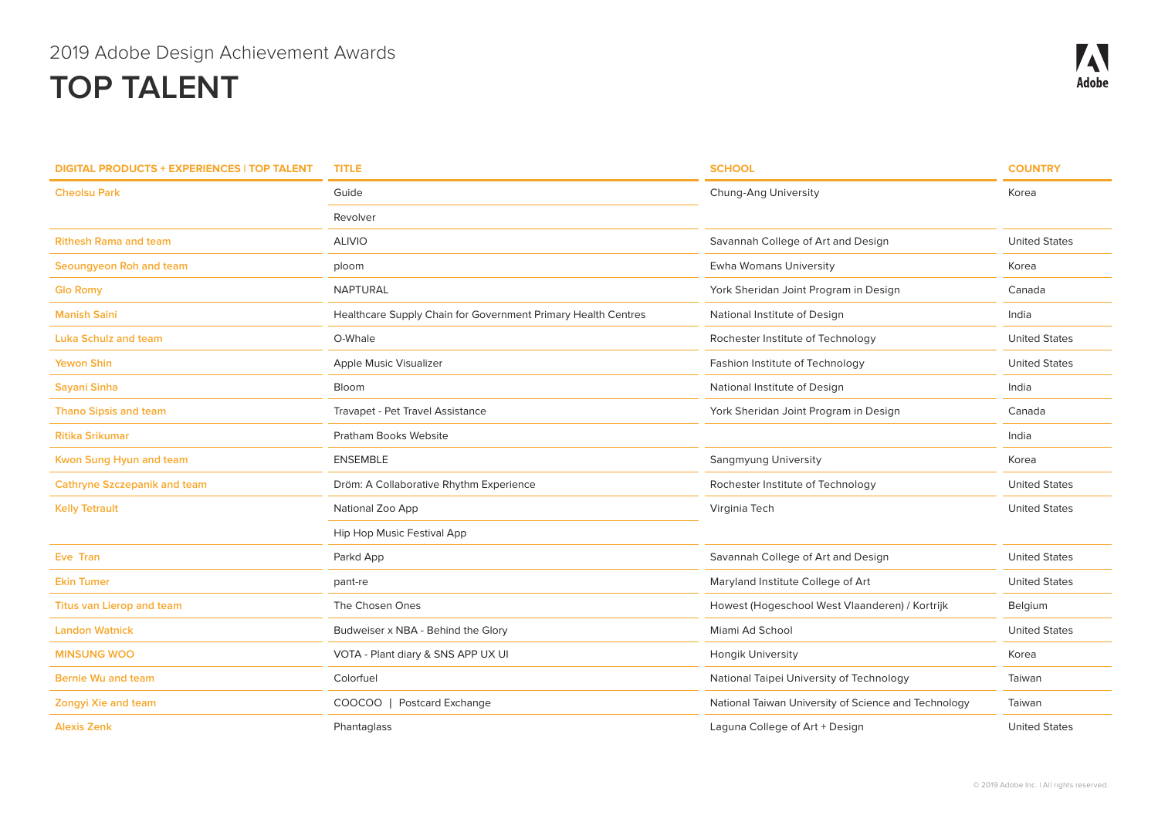| <b>DIGITAL PRODUCTS + EXPERIENCES   TOP TALENT</b> | <b>TITLE</b>                                                  | <b>SCHOOL</b>                                        | <b>COUNTRY</b>       |
|----------------------------------------------------|---------------------------------------------------------------|------------------------------------------------------|----------------------|
| <b>Cheolsu Park</b>                                | Guide                                                         | Chung-Ang University                                 | Korea                |
|                                                    | Revolver                                                      |                                                      |                      |
| <b>Rithesh Rama and team</b>                       | <b>ALIVIO</b>                                                 | Savannah College of Art and Design                   | <b>United States</b> |
| Seoungyeon Roh and team                            | ploom                                                         | <b>Ewha Womans University</b>                        | Korea                |
| <b>Glo Romy</b>                                    | <b>NAPTURAL</b>                                               | York Sheridan Joint Program in Design                | Canada               |
| <b>Manish Saini</b>                                | Healthcare Supply Chain for Government Primary Health Centres | National Institute of Design                         | India                |
| <b>Luka Schulz and team</b>                        | O-Whale                                                       | Rochester Institute of Technology                    | <b>United States</b> |
| Yewon Shin                                         | Apple Music Visualizer                                        | Fashion Institute of Technology                      | <b>United States</b> |
| Sayani Sinha                                       | Bloom                                                         | National Institute of Design                         | India                |
| <b>Thano Sipsis and team</b>                       | Travapet - Pet Travel Assistance                              | York Sheridan Joint Program in Design                | Canada               |
| <b>Ritika Srikumar</b>                             | <b>Pratham Books Website</b>                                  |                                                      | India                |
| Kwon Sung Hyun and team                            | <b>ENSEMBLE</b>                                               | Sangmyung University                                 | Korea                |
| <b>Cathryne Szczepanik and team</b>                | Dröm: A Collaborative Rhythm Experience                       | Rochester Institute of Technology                    | <b>United States</b> |
| <b>Kelly Tetrault</b>                              | National Zoo App                                              | Virginia Tech                                        | <b>United States</b> |
|                                                    | Hip Hop Music Festival App                                    |                                                      |                      |
| Eve Tran                                           | Parkd App                                                     | Savannah College of Art and Design                   | <b>United States</b> |
| <b>Ekin Tumer</b>                                  | pant-re                                                       | Maryland Institute College of Art                    | <b>United States</b> |
| <b>Titus van Lierop and team</b>                   | The Chosen Ones                                               | Howest (Hogeschool West Vlaanderen) / Kortrijk       | Belgium              |
| <b>Landon Watnick</b>                              | Budweiser x NBA - Behind the Glory                            | Miami Ad School                                      | <b>United States</b> |
| <b>MINSUNG WOO</b>                                 | VOTA - Plant diary & SNS APP UX UI                            | <b>Hongik University</b>                             | Korea                |
| <b>Bernie Wu and team</b>                          | Colorfuel                                                     | National Taipei University of Technology             | Taiwan               |
| <b>Zongyi Xie and team</b>                         | COOCOO  <br><b>Postcard Exchange</b>                          | National Taiwan University of Science and Technology | Taiwan               |
| <b>Alexis Zenk</b>                                 | Phantaglass                                                   | Laguna College of Art + Design                       | <b>United States</b> |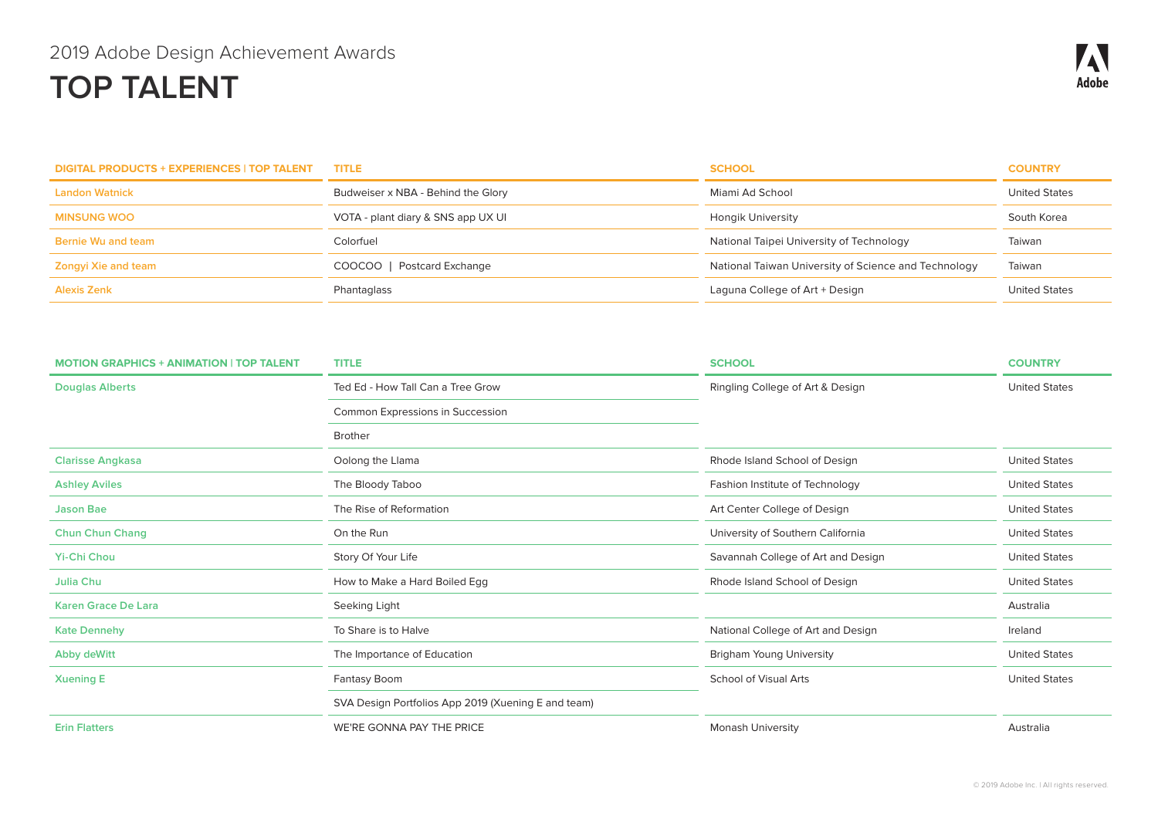| <b>DIGITAL PRODUCTS + EXPERIENCES   TOP TALENT</b> | <b>TITLE</b>                       | <b>SCHOOL</b>                                        | <b>COUNTRY</b>       |
|----------------------------------------------------|------------------------------------|------------------------------------------------------|----------------------|
| <b>Landon Watnick</b>                              | Budweiser x NBA - Behind the Glory | Miami Ad School                                      | <b>United States</b> |
| <b>MINSUNG WOO</b>                                 | VOTA - plant diary & SNS app UX UI | Hongik University                                    | South Korea          |
| Bernie Wu and team                                 | Colorfuel                          | National Taipei University of Technology             | Taiwan               |
| Zongyi Xie and team                                | <b>Postcard Exchange</b><br>COOCOO | National Taiwan University of Science and Technology | Taiwan               |
| <b>Alexis Zenk</b>                                 | Phantaglass                        | Laguna College of Art + Design                       | <b>United States</b> |

| <b>MOTION GRAPHICS + ANIMATION   TOP TALENT</b> | <b>TITLE</b>                                        | <b>SCHOOL</b>                      | <b>COUNTRY</b>       |
|-------------------------------------------------|-----------------------------------------------------|------------------------------------|----------------------|
| <b>Douglas Alberts</b>                          | Ted Ed - How Tall Can a Tree Grow                   | Ringling College of Art & Design   | <b>United States</b> |
|                                                 | Common Expressions in Succession                    |                                    |                      |
|                                                 | <b>Brother</b>                                      |                                    |                      |
| <b>Clarisse Angkasa</b>                         | Oolong the Llama                                    | Rhode Island School of Design      | <b>United States</b> |
| <b>Ashley Aviles</b>                            | The Bloody Taboo                                    | Fashion Institute of Technology    | <b>United States</b> |
| <b>Jason Bae</b>                                | The Rise of Reformation                             | Art Center College of Design       | <b>United States</b> |
| <b>Chun Chun Chang</b>                          | On the Run                                          | University of Southern California  | <b>United States</b> |
| <b>Yi-Chi Chou</b>                              | Story Of Your Life                                  | Savannah College of Art and Design | <b>United States</b> |
| Julia Chu                                       | How to Make a Hard Boiled Egg                       | Rhode Island School of Design      | <b>United States</b> |
| <b>Karen Grace De Lara</b>                      | Seeking Light                                       |                                    | Australia            |
| <b>Kate Dennehy</b>                             | To Share is to Halve                                | National College of Art and Design | Ireland              |
| Abby deWitt                                     | The Importance of Education                         | <b>Brigham Young University</b>    | <b>United States</b> |
| <b>Xuening E</b>                                | Fantasy Boom                                        | <b>School of Visual Arts</b>       | <b>United States</b> |
|                                                 | SVA Design Portfolios App 2019 (Xuening E and team) |                                    |                      |
| <b>Erin Flatters</b>                            | WE'RE GONNA PAY THE PRICE                           | <b>Monash University</b>           | Australia            |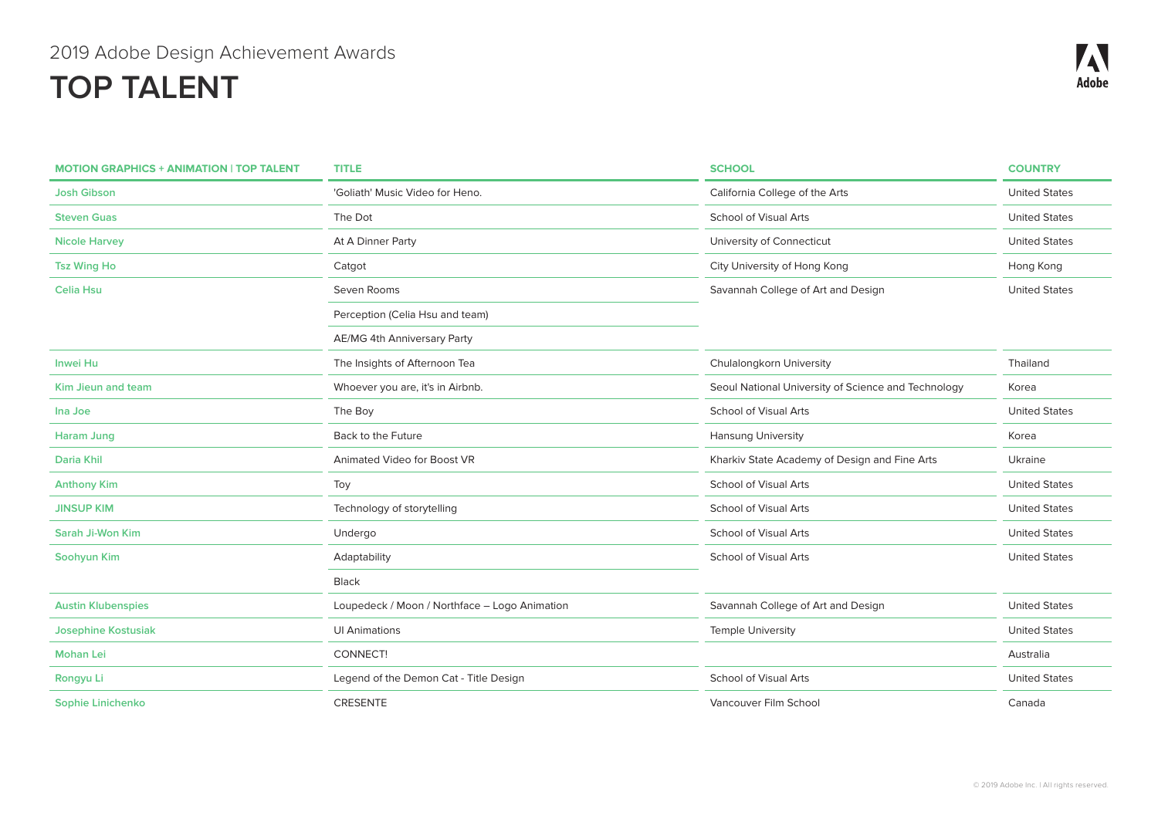| <b>MOTION GRAPHICS + ANIMATION   TOP TALENT</b> | <b>TITLE</b>                                  | <b>SCHOOL</b>                                       | <b>COUNTRY</b>       |
|-------------------------------------------------|-----------------------------------------------|-----------------------------------------------------|----------------------|
| <b>Josh Gibson</b>                              | 'Goliath' Music Video for Heno.               | California College of the Arts                      | <b>United States</b> |
| <b>Steven Guas</b>                              | The Dot                                       | <b>School of Visual Arts</b>                        | <b>United States</b> |
| <b>Nicole Harvey</b>                            | At A Dinner Party                             | University of Connecticut                           | <b>United States</b> |
| <b>Tsz Wing Ho</b>                              | Catgot                                        | City University of Hong Kong                        | Hong Kong            |
| <b>Celia Hsu</b>                                | Seven Rooms                                   | Savannah College of Art and Design                  | <b>United States</b> |
|                                                 | Perception (Celia Hsu and team)               |                                                     |                      |
|                                                 | AE/MG 4th Anniversary Party                   |                                                     |                      |
| <b>Inwei Hu</b>                                 | The Insights of Afternoon Tea                 | Chulalongkorn University                            | Thailand             |
| Kim Jieun and team                              | Whoever you are, it's in Airbnb.              | Seoul National University of Science and Technology | Korea                |
| Ina Joe                                         | The Boy                                       | <b>School of Visual Arts</b>                        | <b>United States</b> |
| <b>Haram Jung</b>                               | Back to the Future                            | Hansung University                                  | Korea                |
| Daria Khil                                      | Animated Video for Boost VR                   | Kharkiv State Academy of Design and Fine Arts       | Ukraine              |
| <b>Anthony Kim</b>                              | Toy                                           | <b>School of Visual Arts</b>                        | <b>United States</b> |
| <b>JINSUP KIM</b>                               | Technology of storytelling                    | School of Visual Arts                               | <b>United States</b> |
| Sarah Ji-Won Kim                                | Undergo                                       | <b>School of Visual Arts</b>                        | <b>United States</b> |
| Soohyun Kim                                     | Adaptability                                  | <b>School of Visual Arts</b>                        | <b>United States</b> |
|                                                 | Black                                         |                                                     |                      |
| <b>Austin Klubenspies</b>                       | Loupedeck / Moon / Northface - Logo Animation | Savannah College of Art and Design                  | <b>United States</b> |
| <b>Josephine Kostusiak</b>                      | <b>UI Animations</b>                          | <b>Temple University</b>                            | <b>United States</b> |
| <b>Mohan Lei</b>                                | CONNECT!                                      |                                                     | Australia            |
| Rongyu Li                                       | Legend of the Demon Cat - Title Design        | <b>School of Visual Arts</b>                        | <b>United States</b> |
| Sophie Linichenko                               | <b>CRESENTE</b>                               | Vancouver Film School                               | Canada               |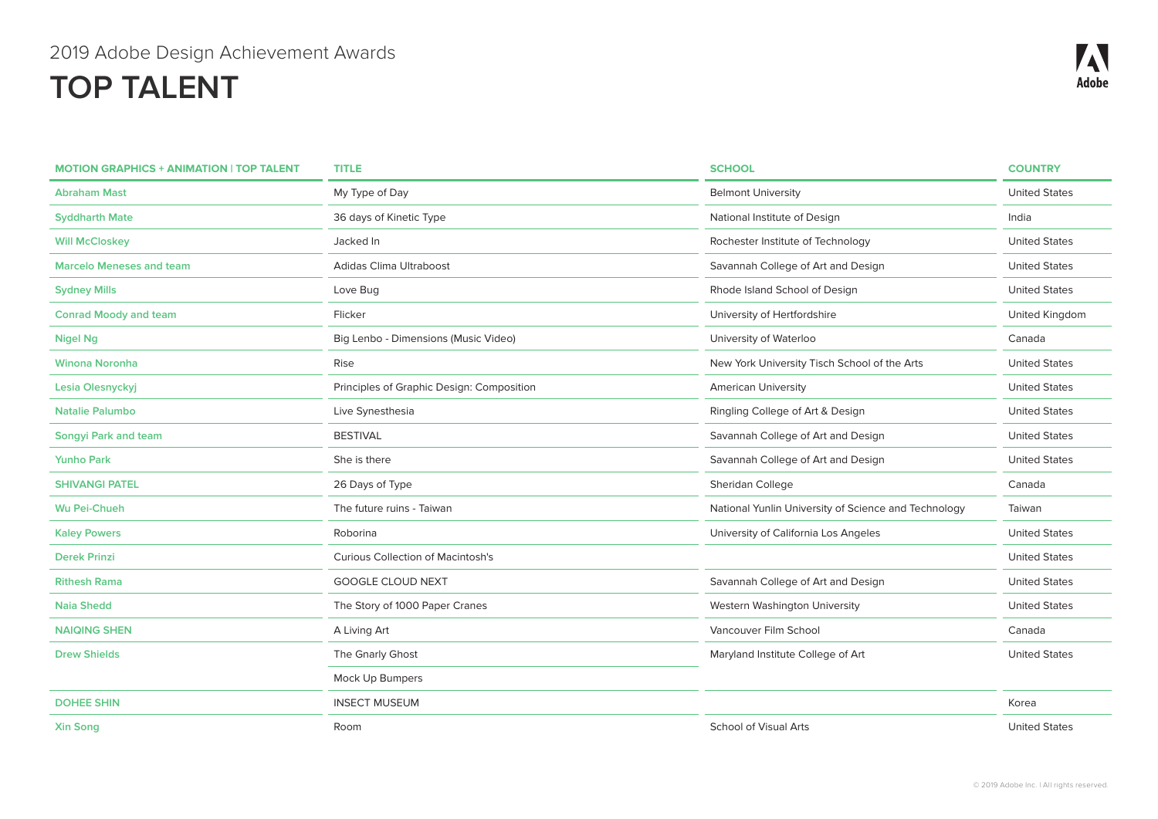| <b>MOTION GRAPHICS + ANIMATION   TOP TALENT</b> | <b>TITLE</b>                              | <b>SCHOOL</b>                                        | <b>COUNTRY</b>       |
|-------------------------------------------------|-------------------------------------------|------------------------------------------------------|----------------------|
| <b>Abraham Mast</b>                             | My Type of Day                            | <b>Belmont University</b>                            | <b>United States</b> |
| <b>Syddharth Mate</b>                           | 36 days of Kinetic Type                   | National Institute of Design                         | India                |
| <b>Will McCloskey</b>                           | Jacked In                                 | Rochester Institute of Technology                    | <b>United States</b> |
| <b>Marcelo Meneses and team</b>                 | Adidas Clima Ultraboost                   | Savannah College of Art and Design                   | <b>United States</b> |
| <b>Sydney Mills</b>                             | Love Bug                                  | Rhode Island School of Design                        | <b>United States</b> |
| <b>Conrad Moody and team</b>                    | Flicker                                   | University of Hertfordshire                          | United Kingdom       |
| <b>Nigel Ng</b>                                 | Big Lenbo - Dimensions (Music Video)      | University of Waterloo                               | Canada               |
| <b>Winona Noronha</b>                           | Rise                                      | New York University Tisch School of the Arts         | <b>United States</b> |
| Lesia Olesnyckyj                                | Principles of Graphic Design: Composition | <b>American University</b>                           | <b>United States</b> |
| <b>Natalie Palumbo</b>                          | Live Synesthesia                          | Ringling College of Art & Design                     | <b>United States</b> |
| <b>Songyi Park and team</b>                     | <b>BESTIVAL</b>                           | Savannah College of Art and Design                   | <b>United States</b> |
| <b>Yunho Park</b>                               | She is there                              | Savannah College of Art and Design                   | <b>United States</b> |
| <b>SHIVANGI PATEL</b>                           | 26 Days of Type                           | Sheridan College                                     | Canada               |
| Wu Pei-Chueh                                    | The future ruins - Taiwan                 | National Yunlin University of Science and Technology | Taiwan               |
| <b>Kaley Powers</b>                             | Roborina                                  | University of California Los Angeles                 | <b>United States</b> |
| <b>Derek Prinzi</b>                             | <b>Curious Collection of Macintosh's</b>  |                                                      | <b>United States</b> |
| <b>Rithesh Rama</b>                             | <b>GOOGLE CLOUD NEXT</b>                  | Savannah College of Art and Design                   | <b>United States</b> |
| <b>Naia Shedd</b>                               | The Story of 1000 Paper Cranes            | Western Washington University                        | <b>United States</b> |
| <b>NAIQING SHEN</b>                             | A Living Art                              | Vancouver Film School                                | Canada               |
| <b>Drew Shields</b>                             | The Gnarly Ghost                          | Maryland Institute College of Art                    | <b>United States</b> |
|                                                 | Mock Up Bumpers                           |                                                      |                      |
| <b>DOHEE SHIN</b>                               | <b>INSECT MUSEUM</b>                      |                                                      | Korea                |
| <b>Xin Song</b>                                 | Room                                      | <b>School of Visual Arts</b>                         | <b>United States</b> |